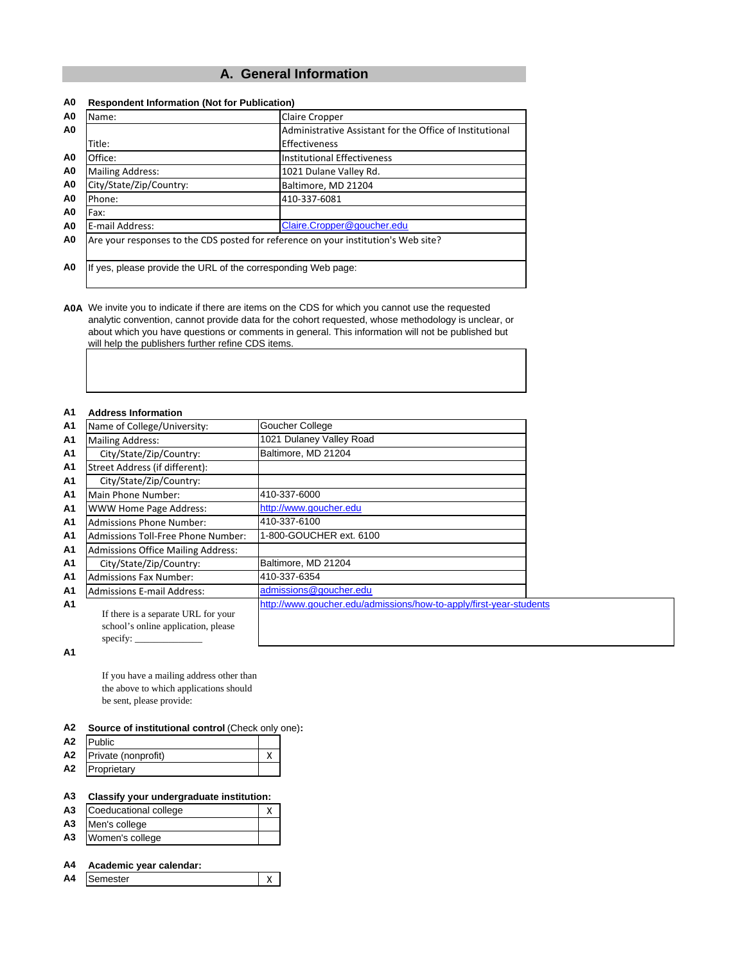# **A. General Information**

| nν             | <b>Respondent implifiation (NOT TO)</b> F abilication,                             |                             |  |  |  |
|----------------|------------------------------------------------------------------------------------|-----------------------------|--|--|--|
| A <sub>0</sub> | Name:<br><b>Claire Cropper</b>                                                     |                             |  |  |  |
| A0             | Administrative Assistant for the Office of Institutional                           |                             |  |  |  |
|                | Title:                                                                             | Effectiveness               |  |  |  |
| A0             | Office:                                                                            | Institutional Effectiveness |  |  |  |
| A0             | <b>Mailing Address:</b>                                                            | 1021 Dulane Valley Rd.      |  |  |  |
| A0             | City/State/Zip/Country:                                                            | Baltimore, MD 21204         |  |  |  |
| A0             | Phone:                                                                             | 410-337-6081                |  |  |  |
| A0             | Fax:                                                                               |                             |  |  |  |
| A0             | E-mail Address:                                                                    | Claire.Cropper@goucher.edu  |  |  |  |
| A0             | Are your responses to the CDS posted for reference on your institution's Web site? |                             |  |  |  |
|                |                                                                                    |                             |  |  |  |
| A0             | If yes, please provide the URL of the corresponding Web page:                      |                             |  |  |  |

#### **A0 Respondent Information (Not for Publication)**

**A0A** We invite you to indicate if there are items on the CDS for which you cannot use the requested analytic convention, cannot provide data for the cohort requested, whose methodology is unclear, or about which you have questions or comments in general. This information will not be published but will help the publishers further refine CDS items.

#### **A1 Address Information**

| A1             | Name of College/University:                                                                                     | Goucher College                                                    |
|----------------|-----------------------------------------------------------------------------------------------------------------|--------------------------------------------------------------------|
| A1             | <b>Mailing Address:</b>                                                                                         | 1021 Dulaney Valley Road                                           |
| A1             | City/State/Zip/Country:                                                                                         | Baltimore, MD 21204                                                |
| A <sub>1</sub> | Street Address (if different):                                                                                  |                                                                    |
| A1             | City/State/Zip/Country:                                                                                         |                                                                    |
| A1             | Main Phone Number:                                                                                              | 410-337-6000                                                       |
| Α1             | <b>WWW Home Page Address:</b>                                                                                   | http://www.goucher.edu                                             |
| A1             | <b>Admissions Phone Number:</b>                                                                                 | 410-337-6100                                                       |
| A1             | <b>Admissions Toll-Free Phone Number:</b>                                                                       | 1-800-GOUCHER ext. 6100                                            |
| A <sub>1</sub> | <b>Admissions Office Mailing Address:</b>                                                                       |                                                                    |
| A1             | City/State/Zip/Country:                                                                                         | Baltimore, MD 21204                                                |
| A1             | <b>Admissions Fax Number:</b>                                                                                   | 410-337-6354                                                       |
| A1             | <b>Admissions E-mail Address:</b>                                                                               | admissions@goucher.edu                                             |
| A1             | If there is a separate URL for your<br>school's online application, please<br>specify: $\overline{\phantom{a}}$ | http://www.goucher.edu/admissions/how-to-apply/first-year-students |
|                |                                                                                                                 |                                                                    |

**A1**

If you have a mailing address other than the above to which applications should be sent, please provide:

#### **A2 Source of institutional control** (Check only one)**:**

| A <sub>2</sub> | <b>IPublic</b>         |  |
|----------------|------------------------|--|
|                | A2 Private (nonprofit) |  |
| A2             | Proprietary            |  |

### **A3 Classify your undergraduate institution:**

- A3 Coeducational college X
- **A3** Men's college **A3** Women's college
- 

# **A4 Academic year calendar:**

A4 Semester X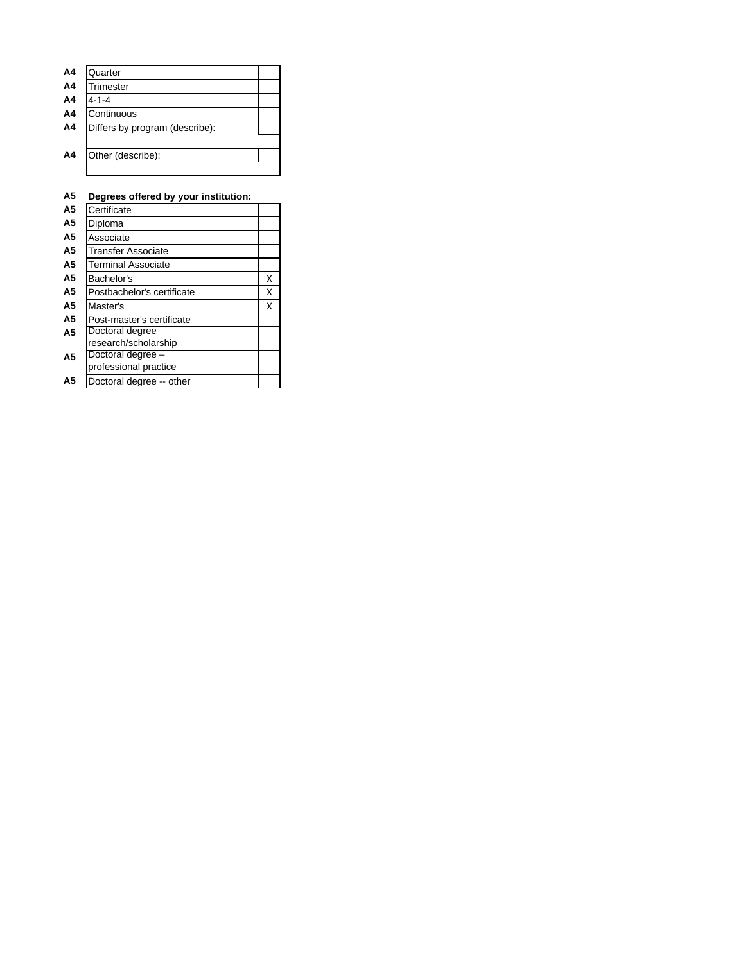| A4 | Quarter                        |  |
|----|--------------------------------|--|
| A4 | Trimester                      |  |
| A4 | $4 - 1 - 4$                    |  |
| A4 | Continuous                     |  |
| A4 | Differs by program (describe): |  |
|    |                                |  |
| A4 | Other (describe):              |  |
|    |                                |  |

### **A5 Degrees offered by your institution:**

| A5             | Certificate                                |   |
|----------------|--------------------------------------------|---|
| А5             | Diploma                                    |   |
| А5             | Associate                                  |   |
| A5             | <b>Transfer Associate</b>                  |   |
| А5             | <b>Terminal Associate</b>                  |   |
| А5             | Bachelor's                                 | x |
| А5             | Postbachelor's certificate                 | x |
| А5             | Master's                                   | x |
| A5             | Post-master's certificate                  |   |
| A <sub>5</sub> | Doctoral degree<br>research/scholarship    |   |
| А5             | Doctoral degree -<br>professional practice |   |
| Α5             | Doctoral degree -- other                   |   |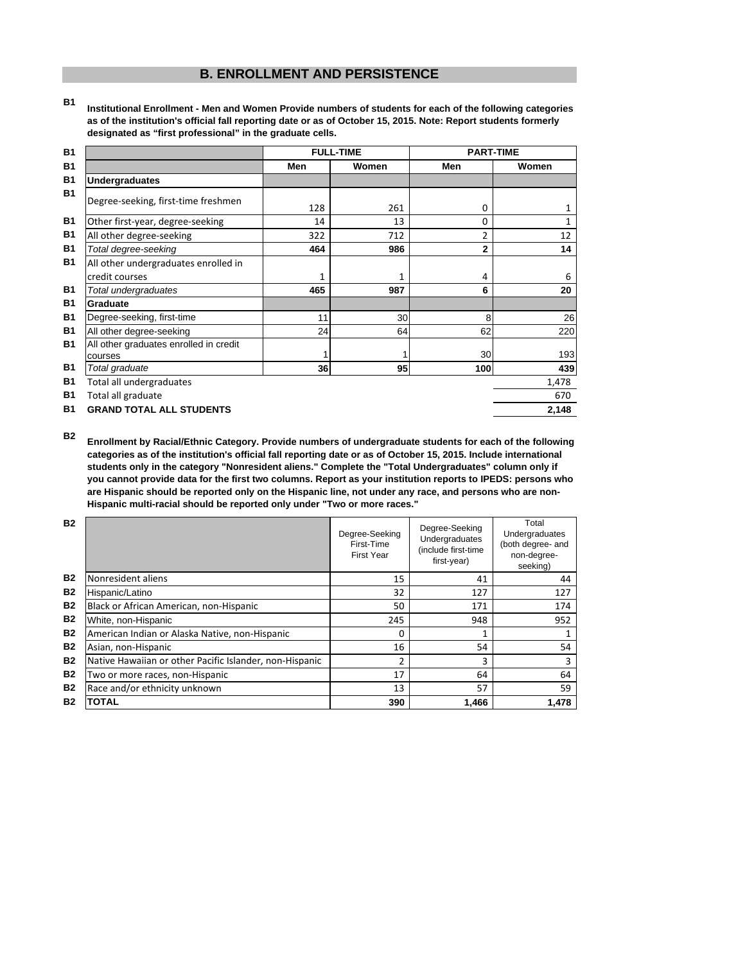# **B. ENROLLMENT AND PERSISTENCE**

**B1 Institutional Enrollment - Men and Women Provide numbers of students for each of the following categories as of the institution's official fall reporting date or as of October 15, 2015. Note: Report students formerly designated as "first professional" in the graduate cells.**

| <b>B1</b> |                                                   |     | <b>FULL-TIME</b> | <b>PART-TIME</b> |              |
|-----------|---------------------------------------------------|-----|------------------|------------------|--------------|
| <b>B1</b> |                                                   | Men | Women            | Men              | Women        |
| <b>B1</b> | <b>Undergraduates</b>                             |     |                  |                  |              |
| <b>B1</b> | Degree-seeking, first-time freshmen               | 128 | 261              | 0                | 1            |
| <b>B1</b> | Other first-year, degree-seeking                  | 14  | 13               | 0                | $\mathbf{1}$ |
| <b>B1</b> | All other degree-seeking                          | 322 | 712              | $\overline{2}$   | 12           |
| <b>B1</b> | Total degree-seeking                              | 464 | 986              | $\overline{2}$   | 14           |
| <b>B1</b> | All other undergraduates enrolled in              |     |                  |                  |              |
|           | credit courses                                    | 1   | 1                | 4                | 6            |
| <b>B1</b> | Total undergraduates                              | 465 | 987              | 6                | 20           |
| <b>B1</b> | Graduate                                          |     |                  |                  |              |
| <b>B1</b> | Degree-seeking, first-time                        | 11  | 30               | 8                | 26           |
| <b>B1</b> | All other degree-seeking                          | 24  | 64               | 62               | 220          |
| <b>B1</b> | All other graduates enrolled in credit<br>courses |     |                  | 30               | 193          |
| <b>B1</b> | Total graduate                                    | 36  | 95               | 100              | 439          |
| <b>B1</b> | Total all undergraduates                          |     |                  |                  | 1,478        |
| <b>B1</b> | Total all graduate                                |     |                  |                  | 670          |
| <b>B1</b> | <b>GRAND TOTAL ALL STUDENTS</b>                   |     |                  |                  | 2,148        |

**B2 Enrollment by Racial/Ethnic Category. Provide numbers of undergraduate students for each of the following categories as of the institution's official fall reporting date or as of October 15, 2015. Include international students only in the category "Nonresident aliens." Complete the "Total Undergraduates" column only if you cannot provide data for the first two columns. Report as your institution reports to IPEDS: persons who are Hispanic should be reported only on the Hispanic line, not under any race, and persons who are non-Hispanic multi-racial should be reported only under "Two or more races."** 

| <b>B2</b> |                                                         | Degree-Seeking<br>First-Time<br>First Year | Degree-Seeking<br>Undergraduates<br>(include first-time)<br>first-year) | Total<br>Undergraduates<br>(both degree- and<br>non-degree-<br>seeking) |
|-----------|---------------------------------------------------------|--------------------------------------------|-------------------------------------------------------------------------|-------------------------------------------------------------------------|
| <b>B2</b> | Nonresident aliens                                      | 15                                         | 41                                                                      | 44                                                                      |
| <b>B2</b> | Hispanic/Latino                                         | 32                                         | 127                                                                     | 127                                                                     |
| <b>B2</b> | Black or African American, non-Hispanic                 | 50                                         | 171                                                                     | 174                                                                     |
| <b>B2</b> | White, non-Hispanic                                     | 245                                        | 948                                                                     | 952                                                                     |
| <b>B2</b> | American Indian or Alaska Native, non-Hispanic          | 0                                          |                                                                         |                                                                         |
| <b>B2</b> | Asian, non-Hispanic                                     | 16                                         | 54                                                                      | 54                                                                      |
| <b>B2</b> | Native Hawaiian or other Pacific Islander, non-Hispanic | 2                                          | 3                                                                       | 3                                                                       |
| <b>B2</b> | Two or more races, non-Hispanic                         | 17                                         | 64                                                                      | 64                                                                      |
| <b>B2</b> | Race and/or ethnicity unknown                           | 13                                         | 57                                                                      | 59                                                                      |
| <b>B2</b> | <b>TOTAL</b>                                            | 390                                        | 1,466                                                                   | 1,478                                                                   |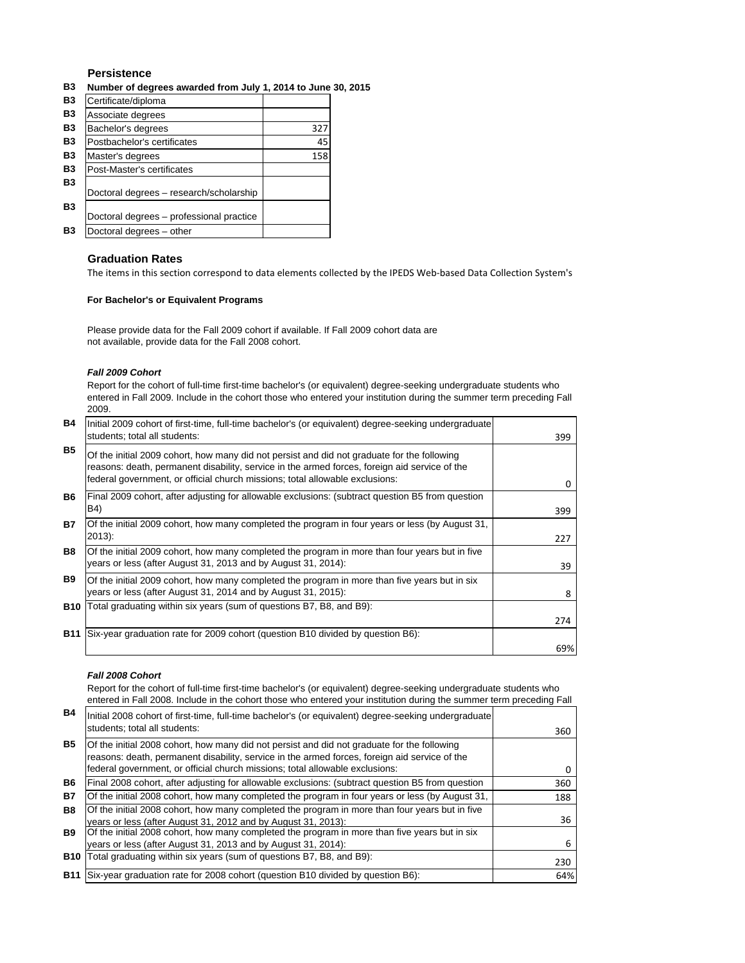### **Persistence**

#### **B3 Number of degrees awarded from July 1, 2014 to June 30, 2015**

| <b>B3</b> | Certificate/diploma                      |     |
|-----------|------------------------------------------|-----|
| <b>B3</b> | Associate degrees                        |     |
| <b>B3</b> | Bachelor's degrees                       | 327 |
| B3        | Postbachelor's certificates              | 45  |
| B3        | Master's degrees                         | 158 |
| B3        | Post-Master's certificates               |     |
| B3        | Doctoral degrees - research/scholarship  |     |
| <b>B3</b> | Doctoral degrees - professional practice |     |
| B3        | Doctoral degrees - other                 |     |

#### **Graduation Rates**

The items in this section correspond to data elements collected by the IPEDS Web-based Data Collection System's

#### **For Bachelor's or Equivalent Programs**

Please provide data for the Fall 2009 cohort if available. If Fall 2009 cohort data are not available, provide data for the Fall 2008 cohort.

#### *Fall 2009 Cohort*

Report for the cohort of full-time first-time bachelor's (or equivalent) degree-seeking undergraduate students who entered in Fall 2009. Include in the cohort those who entered your institution during the summer term preceding Fall 2009.

| <b>B4</b>  | Initial 2009 cohort of first-time, full-time bachelor's (or equivalent) degree-seeking undergraduate<br>students; total all students:                                                                                                                                        | 399      |
|------------|------------------------------------------------------------------------------------------------------------------------------------------------------------------------------------------------------------------------------------------------------------------------------|----------|
| <b>B5</b>  | Of the initial 2009 cohort, how many did not persist and did not graduate for the following<br>reasons: death, permanent disability, service in the armed forces, foreign aid service of the<br>federal government, or official church missions; total allowable exclusions: | $\Omega$ |
| B6         | Final 2009 cohort, after adjusting for allowable exclusions: (subtract question B5 from question<br>B4)                                                                                                                                                                      | 399      |
| B7         | Of the initial 2009 cohort, how many completed the program in four years or less (by August 31,<br>$2013$ :                                                                                                                                                                  | 227      |
| B8         | Of the initial 2009 cohort, how many completed the program in more than four years but in five<br>years or less (after August 31, 2013 and by August 31, 2014):                                                                                                              | 39       |
| <b>B9</b>  | Of the initial 2009 cohort, how many completed the program in more than five years but in six<br>years or less (after August 31, 2014 and by August 31, 2015):                                                                                                               | 8        |
| <b>B10</b> | Total graduating within six years (sum of questions B7, B8, and B9):                                                                                                                                                                                                         |          |
|            |                                                                                                                                                                                                                                                                              | 274      |
| <b>B11</b> | Six-year graduation rate for 2009 cohort (question B10 divided by question B6):                                                                                                                                                                                              | 69%      |

#### *Fall 2008 Cohort*

Report for the cohort of full-time first-time bachelor's (or equivalent) degree-seeking undergraduate students who entered in Fall 2008. Include in the cohort those who entered your institution during the summer term preceding Fall

| <b>B4</b> | Initial 2008 cohort of first-time, full-time bachelor's (or equivalent) degree-seeking undergraduate<br>students; total all students:                                                                                                                                        | 360 |
|-----------|------------------------------------------------------------------------------------------------------------------------------------------------------------------------------------------------------------------------------------------------------------------------------|-----|
| <b>B5</b> | Of the initial 2008 cohort, how many did not persist and did not graduate for the following<br>reasons: death, permanent disability, service in the armed forces, foreign aid service of the<br>federal government, or official church missions; total allowable exclusions: | 0   |
| B6        | Final 2008 cohort, after adjusting for allowable exclusions: (subtract question B5 from question                                                                                                                                                                             | 360 |
| <b>B7</b> | Of the initial 2008 cohort, how many completed the program in four years or less (by August 31,                                                                                                                                                                              | 188 |
| <b>B8</b> | Of the initial 2008 cohort, how many completed the program in more than four years but in five<br>years or less (after August 31, 2012 and by August 31, 2013):                                                                                                              | 36  |
| B9.       | Of the initial 2008 cohort, how many completed the program in more than five years but in six<br>years or less (after August 31, 2013 and by August 31, 2014):                                                                                                               | 6   |
|           | <b>B10</b> Total graduating within six years (sum of questions B7, B8, and B9):                                                                                                                                                                                              | 230 |
|           | B11 Six-year graduation rate for 2008 cohort (question B10 divided by question B6):                                                                                                                                                                                          | 64% |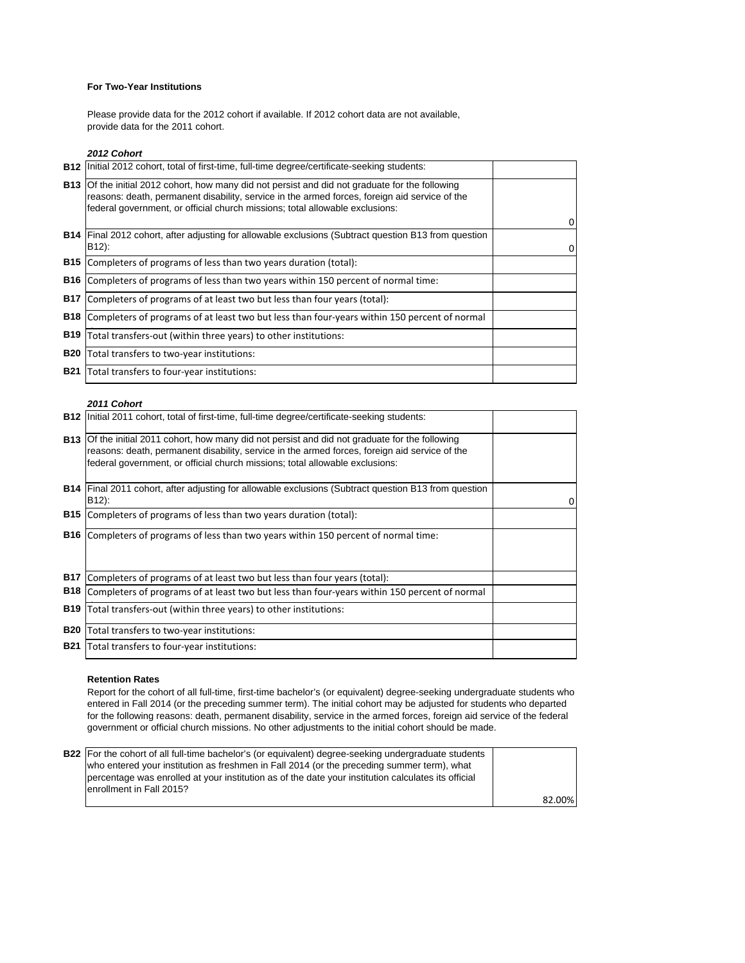#### **For Two-Year Institutions**

Please provide data for the 2012 cohort if available. If 2012 cohort data are not available, provide data for the 2011 cohort.

#### *2012 Cohort*

|            | <b>B12</b> Initial 2012 cohort, total of first-time, full-time degree/certificate-seeking students:                                                                                                                                                                                     |   |
|------------|-----------------------------------------------------------------------------------------------------------------------------------------------------------------------------------------------------------------------------------------------------------------------------------------|---|
|            | <b>B13</b> Of the initial 2012 cohort, how many did not persist and did not graduate for the following<br>reasons: death, permanent disability, service in the armed forces, foreign aid service of the<br>federal government, or official church missions; total allowable exclusions: |   |
|            |                                                                                                                                                                                                                                                                                         | 0 |
|            | <b>B14</b> Final 2012 cohort, after adjusting for allowable exclusions (Subtract question B13 from question<br>B12):                                                                                                                                                                    | 0 |
| B15        | Completers of programs of less than two years duration (total):                                                                                                                                                                                                                         |   |
| <b>B16</b> | Completers of programs of less than two years within 150 percent of normal time:                                                                                                                                                                                                        |   |
| <b>B17</b> | Completers of programs of at least two but less than four years (total):                                                                                                                                                                                                                |   |
| <b>B18</b> | Completers of programs of at least two but less than four-years within 150 percent of normal                                                                                                                                                                                            |   |
| <b>B19</b> | Total transfers-out (within three years) to other institutions:                                                                                                                                                                                                                         |   |
| <b>B20</b> | Total transfers to two-year institutions:                                                                                                                                                                                                                                               |   |
| <b>B21</b> | Total transfers to four-year institutions:                                                                                                                                                                                                                                              |   |

#### *2011 Cohort*

|            | <b>B12</b> linitial 2011 cohort, total of first-time, full-time degree/certificate-seeking students:                                                                                                                                                                                    |   |
|------------|-----------------------------------------------------------------------------------------------------------------------------------------------------------------------------------------------------------------------------------------------------------------------------------------|---|
|            | <b>B13</b> Of the initial 2011 cohort, how many did not persist and did not graduate for the following<br>reasons: death, permanent disability, service in the armed forces, foreign aid service of the<br>federal government, or official church missions; total allowable exclusions: |   |
|            | <b>B14</b> Final 2011 cohort, after adjusting for allowable exclusions (Subtract question B13 from question<br>B12):                                                                                                                                                                    | 0 |
|            | <b>B15</b> Completers of programs of less than two years duration (total):                                                                                                                                                                                                              |   |
| <b>B16</b> | Completers of programs of less than two years within 150 percent of normal time:                                                                                                                                                                                                        |   |
| <b>B17</b> | Completers of programs of at least two but less than four years (total):                                                                                                                                                                                                                |   |
| <b>B18</b> | Completers of programs of at least two but less than four-years within 150 percent of normal                                                                                                                                                                                            |   |
| <b>B19</b> | Total transfers-out (within three years) to other institutions:                                                                                                                                                                                                                         |   |
| <b>B20</b> | Total transfers to two-year institutions:                                                                                                                                                                                                                                               |   |
| <b>B21</b> | Total transfers to four-year institutions:                                                                                                                                                                                                                                              |   |

#### **Retention Rates**

Report for the cohort of all full-time, first-time bachelor's (or equivalent) degree-seeking undergraduate students who entered in Fall 2014 (or the preceding summer term). The initial cohort may be adjusted for students who departed for the following reasons: death, permanent disability, service in the armed forces, foreign aid service of the federal government or official church missions. No other adjustments to the initial cohort should be made.

| <b>B22</b> For the cohort of all full-time bachelor's (or equivalent) degree-seeking undergraduate students |        |
|-------------------------------------------------------------------------------------------------------------|--------|
| who entered your institution as freshmen in Fall 2014 (or the preceding summer term), what                  |        |
| percentage was enrolled at your institution as of the date your institution calculates its official         |        |
| lenrollment in Fall 2015?                                                                                   |        |
|                                                                                                             | 82.00% |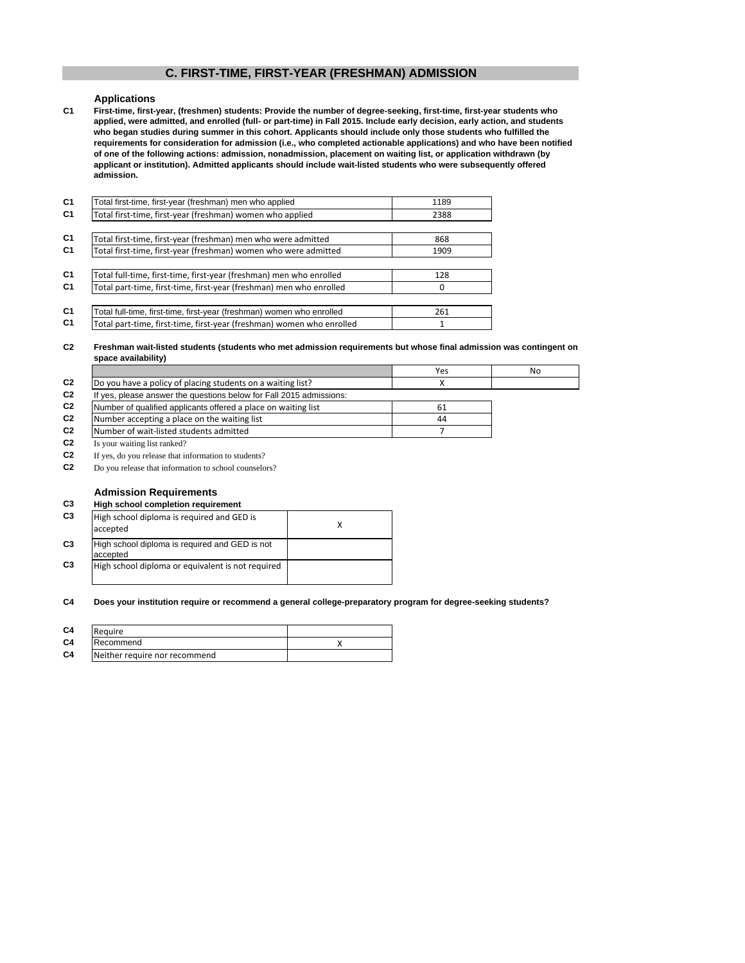## **C. FIRST-TIME, FIRST-YEAR (FRESHMAN) ADMISSION**

#### **Applications**

**C1 First-time, first-year, (freshmen) students: Provide the number of degree-seeking, first-time, first-year students who applied, were admitted, and enrolled (full- or part-time) in Fall 2015. Include early decision, early action, and students who began studies during summer in this cohort. Applicants should include only those students who fulfilled the requirements for consideration for admission (i.e., who completed actionable applications) and who have been notified of one of the following actions: admission, nonadmission, placement on waiting list, or application withdrawn (by applicant or institution). Admitted applicants should include wait-listed students who were subsequently offered admission.**

| C <sub>1</sub> | Total first-time, first-year (freshman) men who applied               | 1189 |
|----------------|-----------------------------------------------------------------------|------|
| C <sub>1</sub> | Total first-time, first-year (freshman) women who applied             | 2388 |
|                |                                                                       |      |
| C <sub>1</sub> | Total first-time, first-year (freshman) men who were admitted         | 868  |
| C <sub>1</sub> | Total first-time, first-year (freshman) women who were admitted       | 1909 |
|                |                                                                       |      |
| C <sub>1</sub> | Total full-time, first-time, first-year (freshman) men who enrolled   | 128  |
| C <sub>1</sub> | Total part-time, first-time, first-year (freshman) men who enrolled   | 0    |
|                |                                                                       |      |
| C <sub>1</sub> | Total full-time, first-time, first-year (freshman) women who enrolled | 261  |
| C <sub>1</sub> | Total part-time, first-time, first-year (freshman) women who enrolled | 1    |
|                |                                                                       |      |

#### **C2 Freshman wait-listed students (students who met admission requirements but whose final admission was contingent on space availability)**

|                |                                                                     | Yes | No |
|----------------|---------------------------------------------------------------------|-----|----|
| C <sub>2</sub> | Do you have a policy of placing students on a waiting list?         |     |    |
| C <sub>2</sub> | If yes, please answer the questions below for Fall 2015 admissions: |     |    |
| C <sub>2</sub> | Number of qualified applicants offered a place on waiting list      | 61  |    |
| C <sub>2</sub> | Number accepting a place on the waiting list                        | 44  |    |
| C <sub>2</sub> | Number of wait-listed students admitted                             |     |    |
| C <sub>2</sub> | Is your waiting list ranked?                                        |     |    |

**C2**

If yes, do you release that information to students?

**C2** Do you release that information to school counselors?

#### **Admission Requirements**

#### **C3 High school completion requirement**

| C <sub>3</sub> | High school diploma is required and GED is<br>accepted     |  |
|----------------|------------------------------------------------------------|--|
| C <sub>3</sub> | High school diploma is required and GED is not<br>accepted |  |
| C <sub>3</sub> | High school diploma or equivalent is not required          |  |

#### **C4 Does your institution require or recommend a general college-preparatory program for degree-seeking students?**

| C <sub>4</sub> | Require                       |  |
|----------------|-------------------------------|--|
| C <sub>4</sub> | Recommend                     |  |
| C <sub>4</sub> | Neither require nor recommend |  |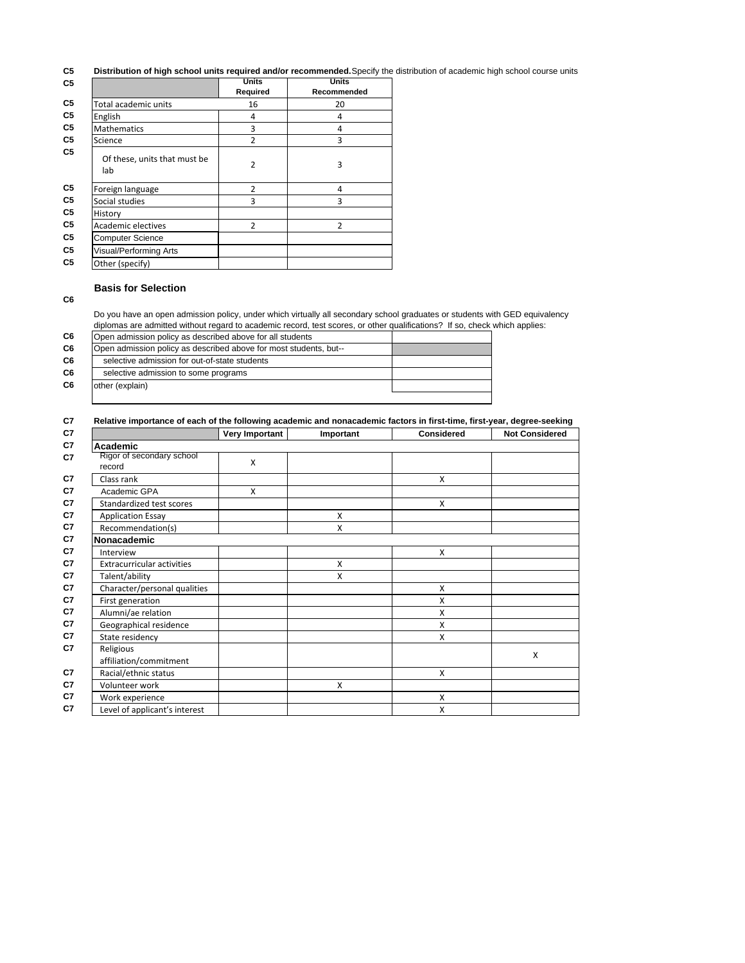#### **C5 Distribution of high school units required and/or recommended.**Specify the distribution of academic high school course units

|                                     | <b>Units</b><br>Required | <b>Units</b><br>Recommended |
|-------------------------------------|--------------------------|-----------------------------|
| Total academic units                | 16                       | 20                          |
| English                             | 4                        | 4                           |
| <b>Mathematics</b>                  | 3                        | 4                           |
| Science                             | $\overline{2}$           | 3                           |
| Of these, units that must be<br>lab | $\overline{2}$           | 3                           |
| Foreign language                    | $\overline{2}$           | 4                           |
| Social studies                      | 3                        | 3                           |
| History                             |                          |                             |
| Academic electives                  | $\overline{2}$           | $\overline{2}$              |
| <b>Computer Science</b>             |                          |                             |
| Visual/Performing Arts              |                          |                             |
| Other (specify)                     |                          |                             |

#### **Basis for Selection**

**C6**

Do you have an open admission policy, under which virtually all secondary school graduates or students with GED equivalency diplomas are admitted without regard to academic record, test scores, or other qualifications? If so, check which applies:

| C6             | Open admission policy as described above for all students         |  |  |  |  |
|----------------|-------------------------------------------------------------------|--|--|--|--|
| C6             | Open admission policy as described above for most students, but-- |  |  |  |  |
| C6             | selective admission for out-of-state students                     |  |  |  |  |
| C6             | selective admission to some programs                              |  |  |  |  |
| C <sub>6</sub> | other (explain)                                                   |  |  |  |  |
|                |                                                                   |  |  |  |  |

|                                     | Very Important | Important | <b>Considered</b> | <b>Not Considered</b> |
|-------------------------------------|----------------|-----------|-------------------|-----------------------|
| Academic                            |                |           |                   |                       |
| Rigor of secondary school<br>record | X              |           |                   |                       |
| Class rank                          |                |           | X                 |                       |
| Academic GPA                        | X              |           |                   |                       |
| Standardized test scores            |                |           | X                 |                       |
| <b>Application Essay</b>            |                | X         |                   |                       |
| Recommendation(s)                   |                | X         |                   |                       |
| Nonacademic                         |                |           |                   |                       |
| Interview                           |                |           | X                 |                       |
| <b>Extracurricular activities</b>   |                | X         |                   |                       |
| Talent/ability                      |                | X         |                   |                       |
| Character/personal qualities        |                |           | X                 |                       |
| First generation                    |                |           | X                 |                       |
| Alumni/ae relation                  |                |           | X                 |                       |
| Geographical residence              |                |           | X                 |                       |
| State residency                     |                |           | X                 |                       |
| Religious                           |                |           |                   | X                     |
| affiliation/commitment              |                |           |                   |                       |
| Racial/ethnic status                |                |           | X                 |                       |
| Volunteer work                      |                | X         |                   |                       |
| Work experience                     |                |           | X                 |                       |
| Level of applicant's interest       |                |           | X                 |                       |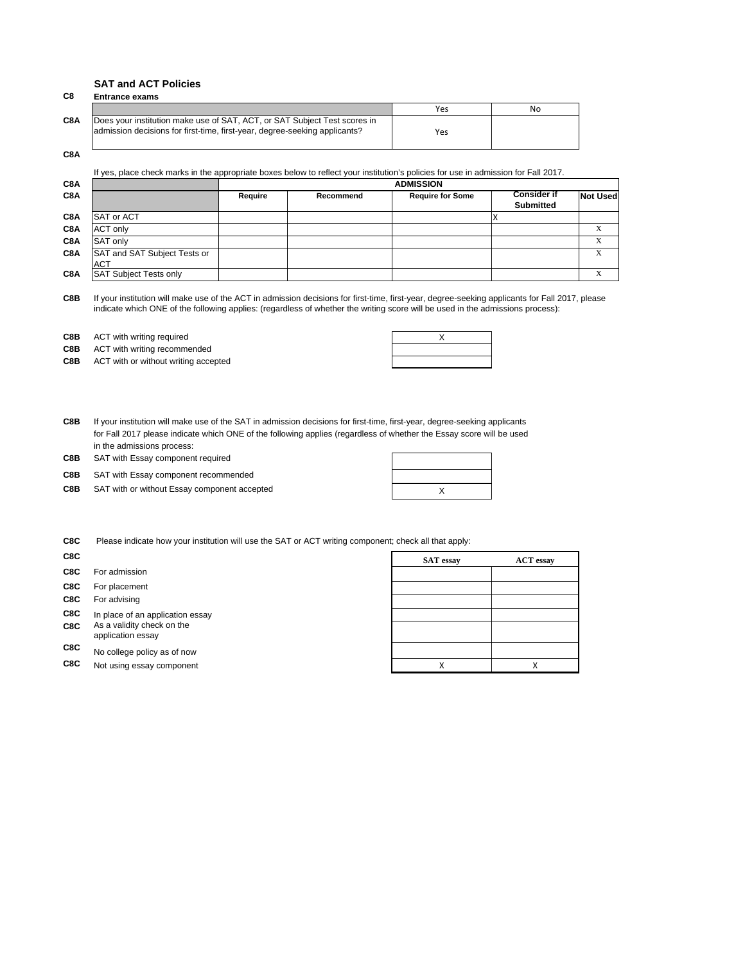#### **SAT and ACT Policies**

| C8               | <b>Entrance exams</b>                                                                                                                                   |     |    |  |  |
|------------------|---------------------------------------------------------------------------------------------------------------------------------------------------------|-----|----|--|--|
|                  |                                                                                                                                                         | Yes | No |  |  |
| C <sub>8</sub> A | Does your institution make use of SAT, ACT, or SAT Subject Test scores in<br>admission decisions for first-time, first-year, degree-seeking applicants? | Yes |    |  |  |

**C8A**

If yes, place check marks in the appropriate boxes below to reflect your institution's policies for use in admission for Fall 2017.

| C8A |                                            | <b>ADMISSION</b> |           |                         |                                        |                 |
|-----|--------------------------------------------|------------------|-----------|-------------------------|----------------------------------------|-----------------|
| C8A |                                            | Require          | Recommend | <b>Require for Some</b> | <b>Consider if</b><br><b>Submitted</b> | <b>Not Used</b> |
| C8A | SAT or ACT                                 |                  |           |                         |                                        |                 |
| C8A | <b>ACT only</b>                            |                  |           |                         |                                        |                 |
| C8A | SAT only                                   |                  |           |                         |                                        |                 |
| C8A | SAT and SAT Subject Tests or<br><b>ACT</b> |                  |           |                         |                                        |                 |
| C8A | <b>SAT Subject Tests only</b>              |                  |           |                         |                                        |                 |

**C8B** If your institution will make use of the ACT in admission decisions for first-time, first-year, degree-seeking applicants for Fall 2017, please indicate which ONE of the following applies: (regardless of whether the writing score will be used in the admissions process):

**C8B** ACT with writing required **ACT ACT** with writing required **ACT CONS** 

**C8B** ACT with writing recommended

**C8B** ACT with or without writing accepted

| v<br>↗ |  |
|--------|--|
|        |  |
|        |  |

**C8B** If your institution will make use of the SAT in admission decisions for first-time, first-year, degree-seeking applicants for Fall 2017 please indicate which ONE of the following applies (regardless of whether the Essay score will be used in the admissions process:

**C8B** SAT with Essay component required

- **C8B** SAT with Essay component recommended
- **C8B** X SAT with or without Essay component accepted

| Χ |  |
|---|--|

**C8C** Please indicate how your institution will use the SAT or ACT writing component; check all that apply:

| C8C        |                                                                                     | <b>SAT</b> essay | <b>ACT</b> essay |
|------------|-------------------------------------------------------------------------------------|------------------|------------------|
| C8C        | For admission                                                                       |                  |                  |
| C8C        | For placement                                                                       |                  |                  |
| C8C        | For advising                                                                        |                  |                  |
| C8C<br>C8C | In place of an application essay<br>As a validity check on the<br>application essay |                  |                  |
| C8C        | No college policy as of now                                                         |                  |                  |
| C8C        | Not using essay component                                                           | Χ                | Χ                |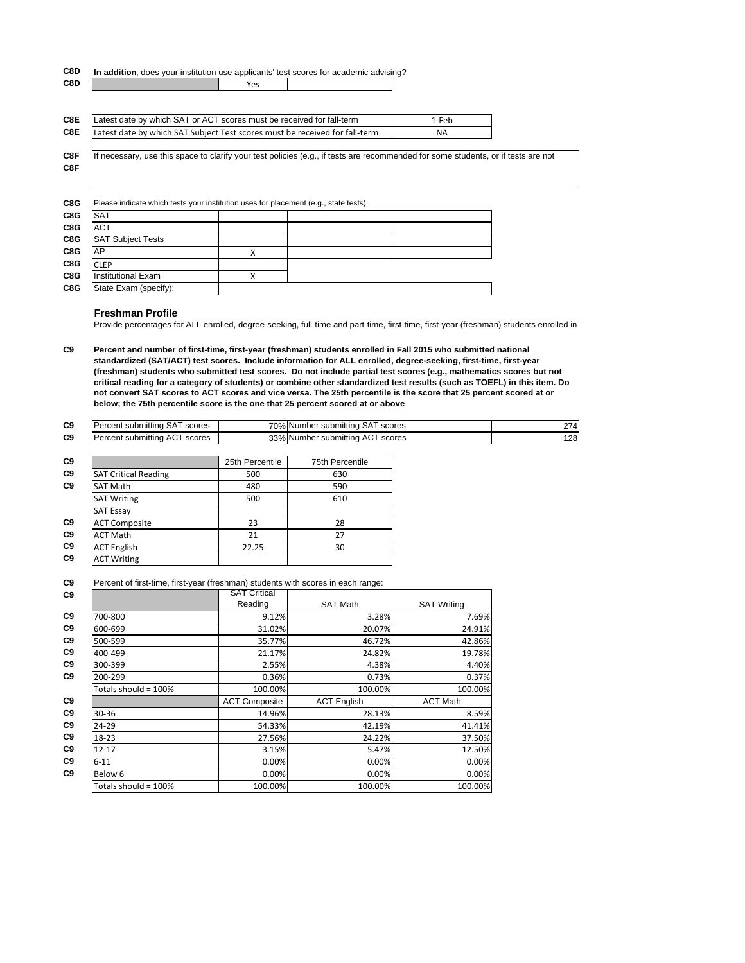#### **C8D In addition**, does your institution use applicants' test scores for academic advising?

| C8D | --<br>ີ |  |
|-----|---------|--|
|     |         |  |

| C8E | Latest date by which SAT or ACT scores must be received for fall-term       | 1-Feb     |
|-----|-----------------------------------------------------------------------------|-----------|
| C8E | Latest date by which SAT Subject Test scores must be received for fall-term | <b>NA</b> |

**C8F C8F** If necessary, use this space to clarify your test policies (e.g., if tests are recommended for some students, or if tests are not

| C8G | Please indicate which tests your institution uses for placement (e.g., state tests): |  |  |  |
|-----|--------------------------------------------------------------------------------------|--|--|--|
| C8G | <b>SAT</b>                                                                           |  |  |  |
| C8G | <b>ACT</b>                                                                           |  |  |  |
| C8G | <b>SAT Subject Tests</b>                                                             |  |  |  |
| C8G | AP                                                                                   |  |  |  |
| C8G | <b>CLEP</b>                                                                          |  |  |  |
| C8G | <b>Institutional Exam</b>                                                            |  |  |  |
| C8G | State Exam (specify):                                                                |  |  |  |

#### **Freshman Profile**

Provide percentages for ALL enrolled, degree-seeking, full-time and part-time, first-time, first-year (freshman) students enrolled in

**C9 Percent and number of first-time, first-year (freshman) students enrolled in Fall 2015 who submitted national standardized (SAT/ACT) test scores. Include information for ALL enrolled, degree-seeking, first-time, first-year (freshman) students who submitted test scores. Do not include partial test scores (e.g., mathematics scores but not critical reading for a category of students) or combine other standardized test results (such as TOEFL) in this item. Do not convert SAT scores to ACT scores and vice versa. The 25th percentile is the score that 25 percent scored at or below; the 75th percentile score is the one that 25 percent scored at or above**

| C9 | Percent submitting SAT scores | 70% Number submitting SAT scores | 274 |
|----|-------------------------------|----------------------------------|-----|
| C9 | Percent submitting ACT scores | 33% Number submitting ACT scores | 128 |

|                             | 25th Percentile | 75th Percentile |
|-----------------------------|-----------------|-----------------|
| <b>SAT Critical Reading</b> | 500             | 630             |
| <b>SAT Math</b>             | 480             | 590             |
| <b>SAT Writing</b>          | 500             | 610             |
| <b>SAT Essay</b>            |                 |                 |
| <b>ACT Composite</b>        | 23              | 28              |
| <b>ACT Math</b>             | 21              | 27              |
| <b>ACT English</b>          | 22.25           | 30              |
| <b>ACT Writing</b>          |                 |                 |

**C9** Percent of first-time, first-year (freshman) students with scores in each range:

| C <sub>9</sub> |                      | <b>SAT Critical</b>  |                    |                    |
|----------------|----------------------|----------------------|--------------------|--------------------|
|                |                      | Reading              | <b>SAT Math</b>    | <b>SAT Writing</b> |
| C <sub>9</sub> | 700-800              | 9.12%                | 3.28%              | 7.69%              |
| C <sub>9</sub> | 600-699              | 31.02%               | 20.07%             | 24.91%             |
| C <sub>9</sub> | 500-599              | 35.77%               | 46.72%             | 42.86%             |
| C <sub>9</sub> | 400-499              | 21.17%               | 24.82%             | 19.78%             |
| C <sub>9</sub> | 300-399              | 2.55%                | 4.38%              | 4.40%              |
| C <sub>9</sub> | 200-299              | 0.36%                | 0.73%              | 0.37%              |
|                | Totals should = 100% | 100.00%              | 100.00%            | 100.00%            |
| C <sub>9</sub> |                      | <b>ACT Composite</b> | <b>ACT English</b> | <b>ACT Math</b>    |
| C <sub>9</sub> | 30-36                | 14.96%               | 28.13%             | 8.59%              |
| C <sub>9</sub> | 24-29                | 54.33%               | 42.19%             | 41.41%             |
| C <sub>9</sub> | 18-23                | 27.56%               | 24.22%             | 37.50%             |
| C <sub>9</sub> | $12 - 17$            | 3.15%                | 5.47%              | 12.50%             |
| C9             | $6 - 11$             | 0.00%                | 0.00%              | 0.00%              |
| C <sub>9</sub> | Below 6              | 0.00%                | 0.00%              | 0.00%              |
|                | Totals should = 100% | 100.00%              | 100.00%            | 100.00%            |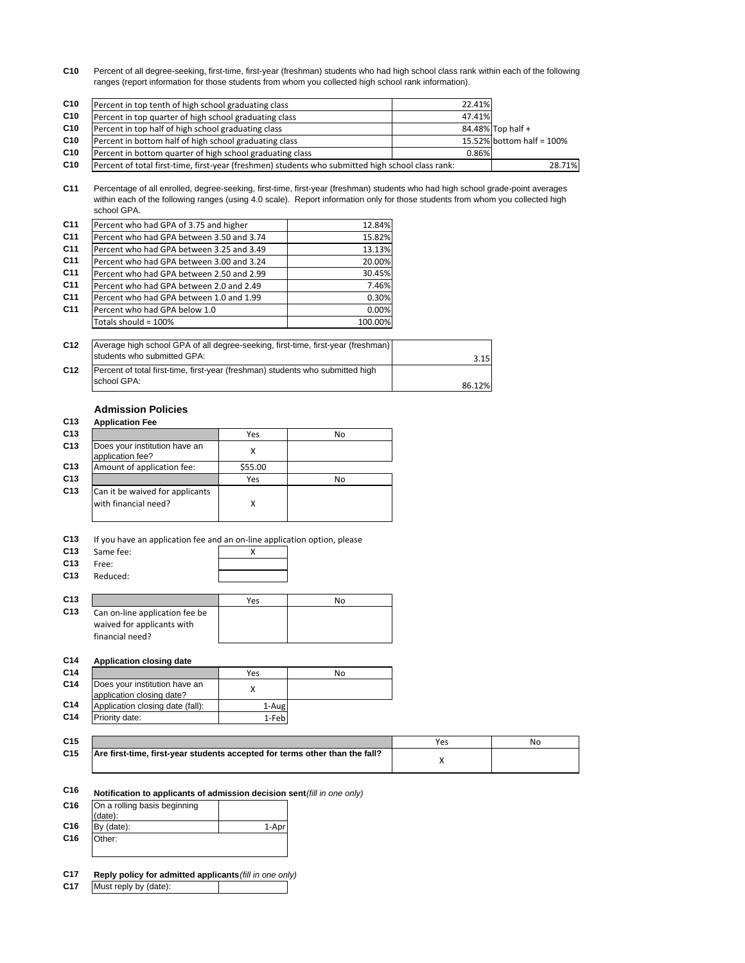**C10** Percent of all degree-seeking, first-time, first-year (freshman) students who had high school class rank within each of the following ranges (report information for those students from whom you collected high school rank information).

| C <sub>10</sub> | Percent in top tenth of high school graduating class                                              | 22.41% |                           |
|-----------------|---------------------------------------------------------------------------------------------------|--------|---------------------------|
| C10             | Percent in top quarter of high school graduating class                                            | 47.41% |                           |
| C10             | Percent in top half of high school graduating class                                               |        | 84.48% Top half +         |
| C10             | Percent in bottom half of high school graduating class                                            |        | 15.52% bottom half = 100% |
| C10             | Percent in bottom quarter of high school graduating class                                         | 0.86%  |                           |
| C <sub>10</sub> | Percent of total first-time, first-year (freshmen) students who submitted high school class rank: |        | 28.71%                    |

**C11** Percentage of all enrolled, degree-seeking, first-time, first-year (freshman) students who had high school grade-point averages within each of the following ranges (using 4.0 scale). Report information only for those students from whom you collected high school GPA.

| C <sub>11</sub> | Percent who had GPA of 3.75 and higher    | 12.84%  |
|-----------------|-------------------------------------------|---------|
| C <sub>11</sub> | Percent who had GPA between 3.50 and 3.74 | 15.82%  |
| C <sub>11</sub> | Percent who had GPA between 3.25 and 3.49 | 13.13%  |
| C <sub>11</sub> | Percent who had GPA between 3.00 and 3.24 | 20.00%  |
| C <sub>11</sub> | Percent who had GPA between 2.50 and 2.99 | 30.45%  |
| C <sub>11</sub> | Percent who had GPA between 2.0 and 2.49  | 7.46%   |
| C <sub>11</sub> | Percent who had GPA between 1.0 and 1.99  | 0.30%   |
| C <sub>11</sub> | Percent who had GPA below 1.0             | 0.00%   |
|                 | Totals should = 100%                      | 100.00% |

| C <sub>12</sub> | Average high school GPA of all degree-seeking, first-time, first-year (freshman)<br>students who submitted GPA: |        |
|-----------------|-----------------------------------------------------------------------------------------------------------------|--------|
|                 |                                                                                                                 | 3.15   |
| C <sub>12</sub> | Percent of total first-time, first-year (freshman) students who submitted high                                  |        |
|                 | school GPA:                                                                                                     | 86.12% |

# **Admission Policies**

|                                                         | Yes     | No |
|---------------------------------------------------------|---------|----|
| Does your institution have an<br>application fee?       |         |    |
| Amount of application fee:                              | \$55.00 |    |
|                                                         | Yes     | No |
| Can it be waived for applicants<br>with financial need? | х       |    |

#### **C13** If you have an application fee and an on-line application option, please

- 
- **C13** Same fee:  $\overline{X}$ <br>**C13** Free: **C13** Free: **C13** Reduced:

|                                | Yes | No |
|--------------------------------|-----|----|
| Can on-line application fee be |     |    |
| waived for applicants with     |     |    |
| financial need?                |     |    |

#### **C14 Application closing date C14** No **C14** Does your institution have an Does your institution have an x<br>application closing date?

- **C14** Application closing date (fall): 1-Aug **C14** Priority date: 1‐Feb
- **C15** Yes No **C15**

| . |                                                                             | 14 U |
|---|-----------------------------------------------------------------------------|------|
|   | Are first-time, first-year students accepted for terms other than the fall? |      |
|   |                                                                             |      |

# **C16 Notification to applicants of admission decision sent (fill in one only)**

| C <sub>16</sub> | On a rolling basis beginning |       |
|-----------------|------------------------------|-------|
|                 | (data):                      |       |
| C <sub>16</sub> | By (date):                   | 1-Apr |
| C <sub>16</sub> | Other:                       |       |
|                 |                              |       |

#### **C17 Reply policy for admitted applicants** *(fill in one only)*

**C17** Must reply by (date):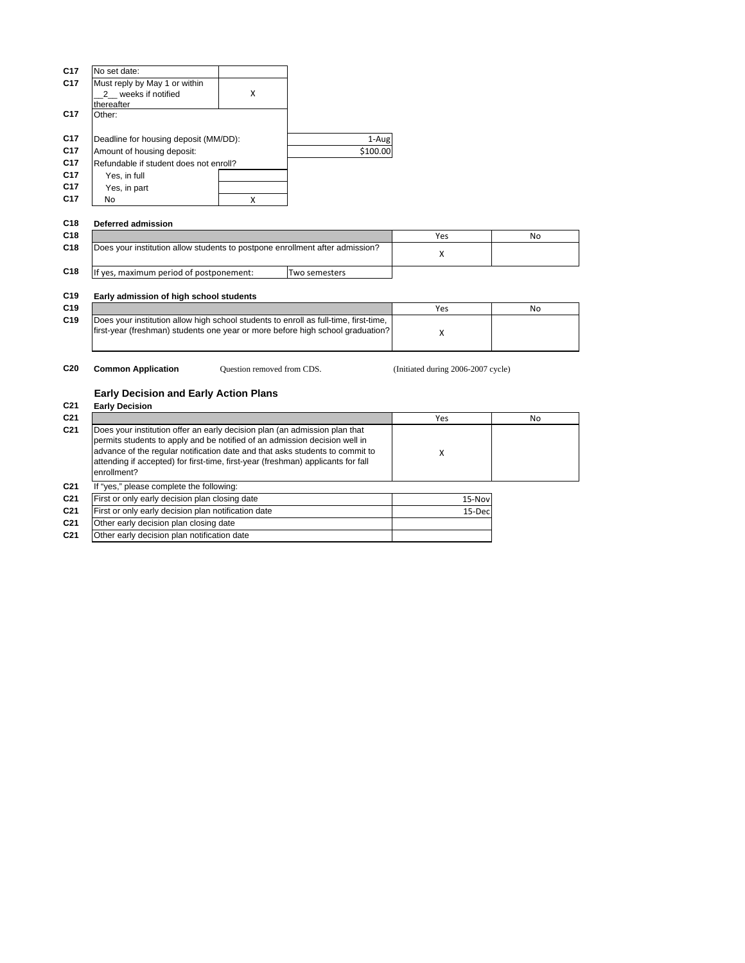| No set date:                  |   |                                                                                 |
|-------------------------------|---|---------------------------------------------------------------------------------|
| Must reply by May 1 or within |   |                                                                                 |
| 2 weeks if notified           | x |                                                                                 |
| thereafter                    |   |                                                                                 |
| Other:                        |   |                                                                                 |
|                               |   |                                                                                 |
|                               |   | 1-Aug                                                                           |
| Amount of housing deposit:    |   | \$100.00                                                                        |
|                               |   |                                                                                 |
| Yes, in full                  |   |                                                                                 |
| Yes, in part                  |   |                                                                                 |
| No                            | Χ |                                                                                 |
|                               |   | Deadline for housing deposit (MM/DD):<br>Refundable if student does not enroll? |

### **C18 Deferred admission**

| C <sub>18</sub> |                                                                              |               | Yes | No |
|-----------------|------------------------------------------------------------------------------|---------------|-----|----|
| C <sub>18</sub> | Does your institution allow students to postpone enrollment after admission? |               |     |    |
|                 |                                                                              |               |     |    |
| C <sub>18</sub> | If yes, maximum period of postponement:                                      | Two semesters |     |    |

### **C19 Early admission of high school students**

| C <sub>19</sub> |                                                                                                                                                                        | Yes | No |
|-----------------|------------------------------------------------------------------------------------------------------------------------------------------------------------------------|-----|----|
| C <sub>19</sub> | Does your institution allow high school students to enroll as full-time, first-time,<br>first-year (freshman) students one year or more before high school graduation? |     |    |
|                 |                                                                                                                                                                        |     |    |

Question removed from CDS.

**C20 Common Application** Question removed from CDS. (Initiated during 2006-2007 cycle)

### **Early Decision and Early Action Plans**

**C21 Early Decision**

| C <sub>21</sub> |                                                                                                                                                                                                                                                                                                                                             | Yes     | No |
|-----------------|---------------------------------------------------------------------------------------------------------------------------------------------------------------------------------------------------------------------------------------------------------------------------------------------------------------------------------------------|---------|----|
| C <sub>21</sub> | Does your institution offer an early decision plan (an admission plan that<br>permits students to apply and be notified of an admission decision well in<br>advance of the regular notification date and that asks students to commit to<br>attending if accepted) for first-time, first-year (freshman) applicants for fall<br>enrollment? | x       |    |
| C <sub>21</sub> | If "yes," please complete the following:                                                                                                                                                                                                                                                                                                    |         |    |
| C <sub>21</sub> | First or only early decision plan closing date                                                                                                                                                                                                                                                                                              | 15-Nov  |    |
| C <sub>21</sub> | First or only early decision plan notification date                                                                                                                                                                                                                                                                                         | 15-Decl |    |
| C <sub>21</sub> | Other early decision plan closing date                                                                                                                                                                                                                                                                                                      |         |    |

**C21** Other early decision plan notification date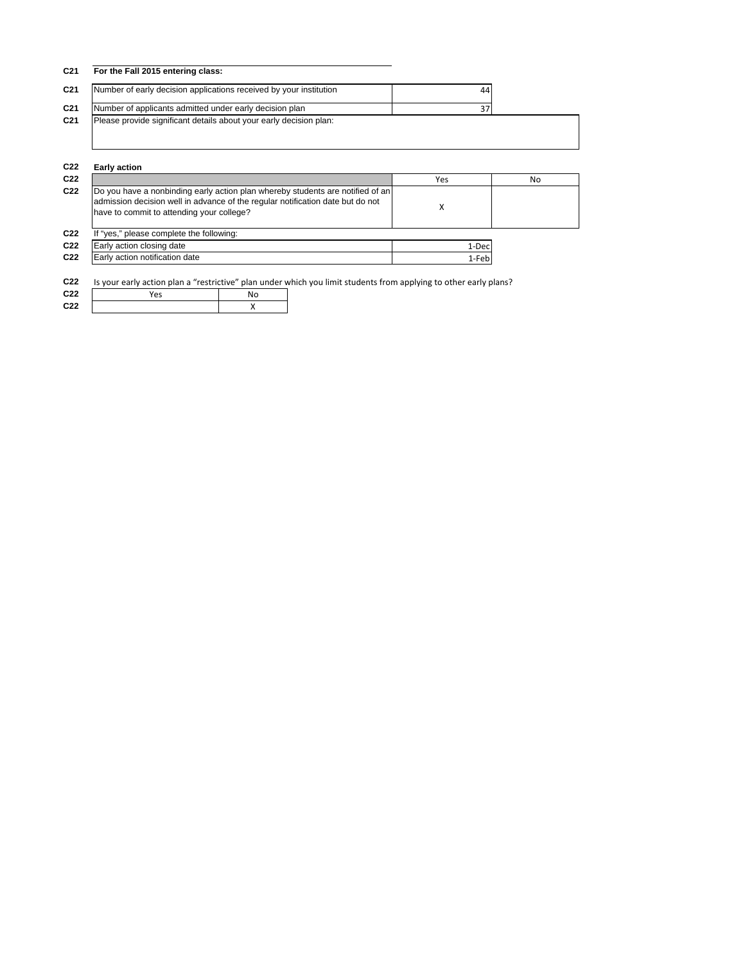| C <sub>21</sub> | For the Fall 2015 entering class:                                  |    |  |
|-----------------|--------------------------------------------------------------------|----|--|
| C <sub>21</sub> | Number of early decision applications received by your institution | 44 |  |
| C <sub>21</sub> | Number of applicants admitted under early decision plan            |    |  |
| C <sub>21</sub> | Please provide significant details about your early decision plan: |    |  |

| C <sub>22</sub> | <b>Early action</b>                                                                                                                                                                                           |       |    |  |  |
|-----------------|---------------------------------------------------------------------------------------------------------------------------------------------------------------------------------------------------------------|-------|----|--|--|
| C <sub>22</sub> |                                                                                                                                                                                                               | Yes   | No |  |  |
| C <sub>22</sub> | Do you have a nonbinding early action plan whereby students are notified of an<br>admission decision well in advance of the regular notification date but do not<br>have to commit to attending your college? |       |    |  |  |
| C <sub>22</sub> | If "yes," please complete the following:                                                                                                                                                                      |       |    |  |  |
| C <sub>22</sub> | Early action closing date                                                                                                                                                                                     | 1-Dec |    |  |  |
| C <sub>22</sub> | Early action notification date                                                                                                                                                                                | 1-Feb |    |  |  |
|                 |                                                                                                                                                                                                               |       |    |  |  |

**C22** Is your early action plan a "restrictive" plan under which you limit students from applying to other early plans?

| C <sub>22</sub> | Yes |  |
|-----------------|-----|--|
| C22             |     |  |
|                 |     |  |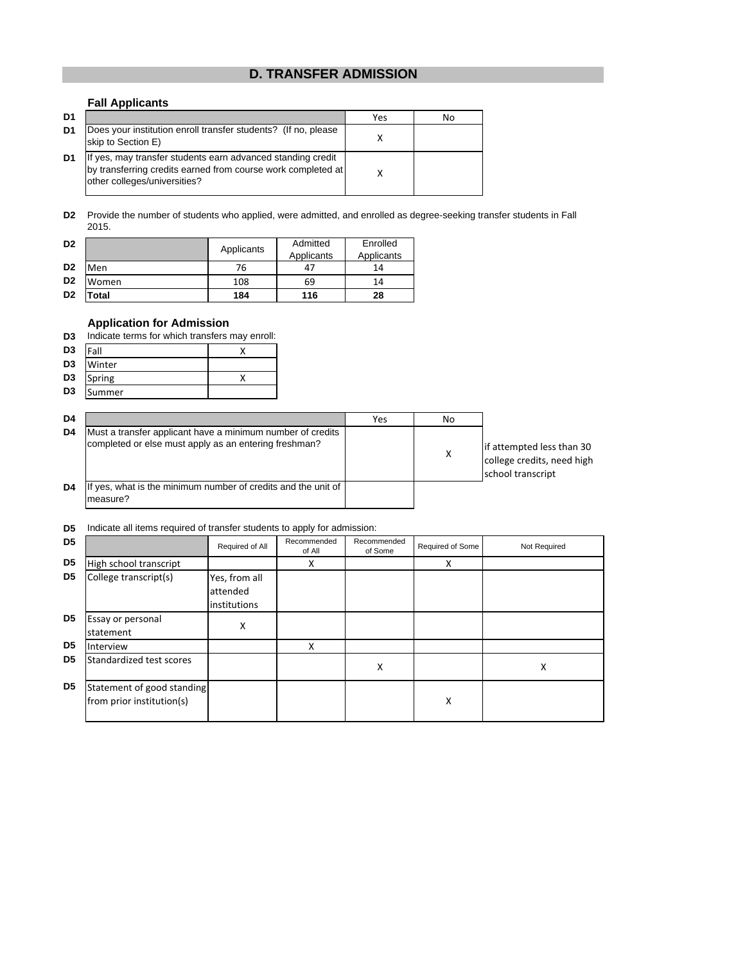# **D. TRANSFER ADMISSION**

### **Fall Applicants**

| D <sub>1</sub> |                                                                                                                                                             | Yes | No |
|----------------|-------------------------------------------------------------------------------------------------------------------------------------------------------------|-----|----|
| D <sub>1</sub> | Does your institution enroll transfer students? (If no, please<br>skip to Section E)                                                                        |     |    |
| D <sub>1</sub> | If yes, may transfer students earn advanced standing credit<br>by transferring credits earned from course work completed at<br>other colleges/universities? |     |    |

**D2** Provide the number of students who applied, were admitted, and enrolled as degree-seeking transfer students in Fall 2015.

| D <sub>2</sub> |       | Applicants | Admitted<br>Applicants | Enrolled<br>Applicants |
|----------------|-------|------------|------------------------|------------------------|
| D <sub>2</sub> | Men   | 76         | 47                     | 14                     |
| D <sub>2</sub> | Women | 108        | 69                     | 14                     |
| D <sub>2</sub> | Total | 184        | 116                    | 28                     |

### **Application for Admission**

|  | D3 Indicate terms for which transfers may enroll: |  |  |  |  |
|--|---------------------------------------------------|--|--|--|--|
|--|---------------------------------------------------|--|--|--|--|

| D <sub>3</sub> | Fall   |  |
|----------------|--------|--|
| D <sub>3</sub> | Winter |  |
| D <sub>3</sub> | Spring |  |
| D <sub>3</sub> | Summer |  |

| D4 |                                                                                                                     | Yes | No |                                                                              |
|----|---------------------------------------------------------------------------------------------------------------------|-----|----|------------------------------------------------------------------------------|
| D4 | Must a transfer applicant have a minimum number of credits<br>completed or else must apply as an entering freshman? |     | X  | if attempted less than 30<br>college credits, need high<br>school transcript |
| D4 | If yes, what is the minimum number of credits and the unit of<br>measure?                                           |     |    |                                                                              |

#### **D5** Indicate all items required of transfer students to apply for admission:

| D <sub>5</sub> |                                                         | Required of All | Recommended<br>of All | Recommended<br>of Some | Required of Some | Not Required |
|----------------|---------------------------------------------------------|-----------------|-----------------------|------------------------|------------------|--------------|
| D <sub>5</sub> | High school transcript                                  |                 | X                     |                        | X                |              |
| D <sub>5</sub> | College transcript(s)                                   | Yes, from all   |                       |                        |                  |              |
|                |                                                         | attended        |                       |                        |                  |              |
|                |                                                         | institutions    |                       |                        |                  |              |
| D <sub>5</sub> | <b>Essay or personal</b>                                | х               |                       |                        |                  |              |
|                | statement                                               |                 |                       |                        |                  |              |
| D <sub>5</sub> | Interview                                               |                 | X                     |                        |                  |              |
| D5             | Standardized test scores                                |                 |                       | x                      |                  | X            |
| D <sub>5</sub> | Statement of good standing<br>from prior institution(s) |                 |                       |                        | Χ                |              |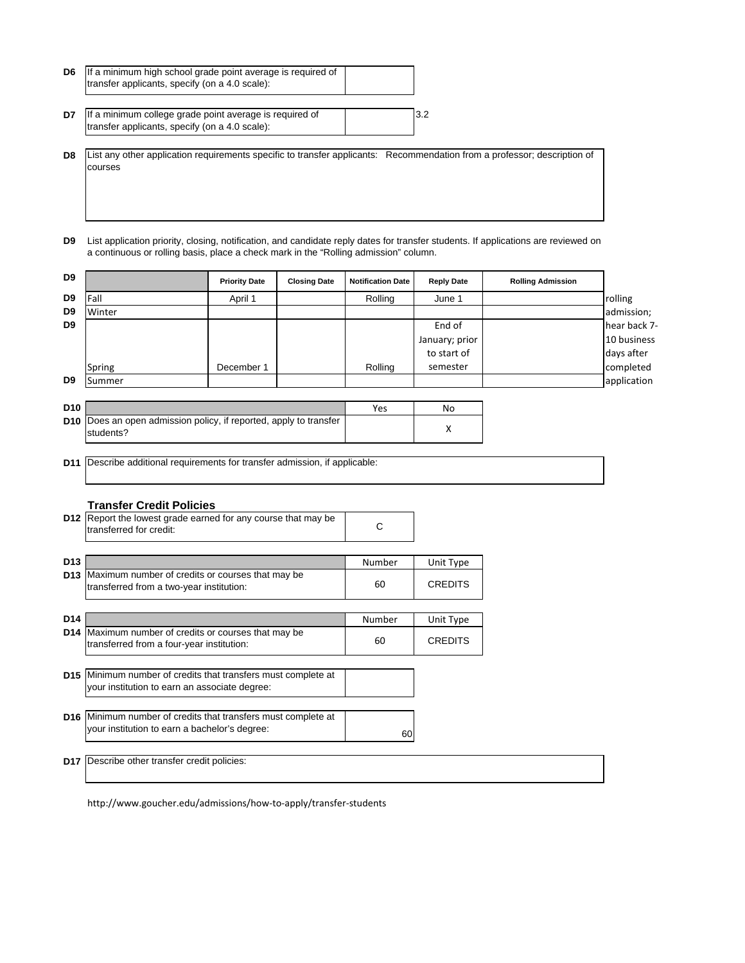| D6 | If a minimum high school grade point average is required of |  |
|----|-------------------------------------------------------------|--|
|    | transfer applicants, specify (on a 4.0 scale):              |  |
|    |                                                             |  |

| D7 | If a minimum college grade point average is required of | 3.2 |
|----|---------------------------------------------------------|-----|
|    | transfer applicants, specify (on a 4.0 scale):          |     |

**D8** List any other application requirements specific to transfer applicants: Recommendation from a professor; description of courses

**D9** List application priority, closing, notification, and candidate reply dates for transfer students. If applications are reviewed on a continuous or rolling basis, place a check mark in the "Rolling admission" column.

| D <sub>9</sub> |        | <b>Priority Date</b> | <b>Closing Date</b> | <b>Notification Date</b> | <b>Reply Date</b> | <b>Rolling Admission</b> |              |
|----------------|--------|----------------------|---------------------|--------------------------|-------------------|--------------------------|--------------|
| D9             | Fall   | April 1              |                     | Rolling                  | June 1            |                          | rolling      |
| D <sub>9</sub> | Winter |                      |                     |                          |                   |                          | admission;   |
| D <sub>9</sub> |        |                      |                     |                          | End of            |                          | hear back 7- |
|                |        |                      |                     |                          | January; prior    |                          | 10 business  |
|                |        |                      |                     |                          | to start of       |                          | days after   |
|                | Spring | December 1           |                     | Rolling                  | semester          |                          | completed    |
| D <sub>9</sub> | Summer |                      |                     |                          |                   |                          | application  |
|                |        |                      |                     |                          |                   |                          |              |

|                                                                                       | Yes | No |
|---------------------------------------------------------------------------------------|-----|----|
| <b>D10</b> Does an open admission policy, if reported, apply to transfer<br>students? |     |    |
|                                                                                       |     |    |

**D11** Describe additional requirements for transfer admission, if applicable:

#### **Transfer Credit Policies**

|                 | <b>D12</b> Report the lowest grade earned for any course that may be<br>transferred for credit:                       | С            |                             |  |
|-----------------|-----------------------------------------------------------------------------------------------------------------------|--------------|-----------------------------|--|
| D <sub>13</sub> | <b>D13</b> Maximum number of credits or courses that may be<br>transferred from a two-year institution:               | Number<br>60 | Unit Type<br><b>CREDITS</b> |  |
| D14             | D14 Maximum number of credits or courses that may be<br>transferred from a four-year institution:                     | Number<br>60 | Unit Type<br><b>CREDITS</b> |  |
|                 | D15 Minimum number of credits that transfers must complete at<br>your institution to earn an associate degree:        |              |                             |  |
|                 | <b>D16</b> Minimum number of credits that transfers must complete at<br>your institution to earn a bachelor's degree: | 60           |                             |  |
|                 | <b>D17</b> Describe other transfer credit policies:                                                                   |              |                             |  |

http://www.goucher.edu/admissions/how‐to‐apply/transfer‐students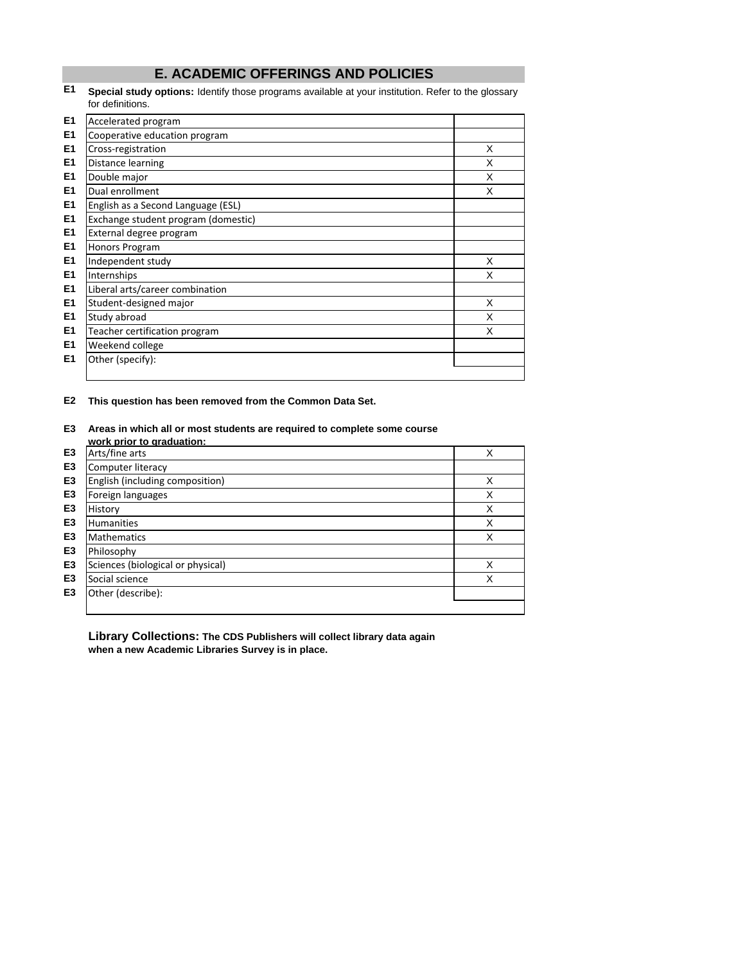# **E. ACADEMIC OFFERINGS AND POLICIES**

#### **E1 Special study options:** Identify those programs available at your institution. Refer to the glossary for definitions.

| E1 | Accelerated program                 |   |
|----|-------------------------------------|---|
| E1 | Cooperative education program       |   |
| E1 | Cross-registration                  | X |
| E1 | Distance learning                   | X |
| E1 | Double major                        | X |
| E1 | Dual enrollment                     | X |
| E1 | English as a Second Language (ESL)  |   |
| E1 | Exchange student program (domestic) |   |
| E1 | External degree program             |   |
| E1 | Honors Program                      |   |
| E1 | Independent study                   | X |
| E1 | Internships                         | X |
| E1 | Liberal arts/career combination     |   |
| E1 | Student-designed major              | X |
| E1 | Study abroad                        | X |
| E1 | Teacher certification program       | X |
| E1 | Weekend college                     |   |
| E1 | Other (specify):                    |   |
|    |                                     |   |

**E2 This question has been removed from the Common Data Set.**

#### **E3 Areas in which all or most students are required to complete some course work prior to graduation:**

|                | work prior to graduation:         |   |
|----------------|-----------------------------------|---|
| E <sub>3</sub> | Arts/fine arts                    | X |
| E <sub>3</sub> | Computer literacy                 |   |
| E <sub>3</sub> | English (including composition)   | X |
| E <sub>3</sub> | Foreign languages                 | X |
| E <sub>3</sub> | History                           | X |
| E <sub>3</sub> | <b>Humanities</b>                 | X |
| E <sub>3</sub> | <b>Mathematics</b>                | X |
| E <sub>3</sub> | Philosophy                        |   |
| E <sub>3</sub> | Sciences (biological or physical) | X |
| E <sub>3</sub> | Social science                    | X |
| E <sub>3</sub> | Other (describe):                 |   |
|                |                                   |   |

**Library Collections: The CDS Publishers will collect library data again when a new Academic Libraries Survey is in place.**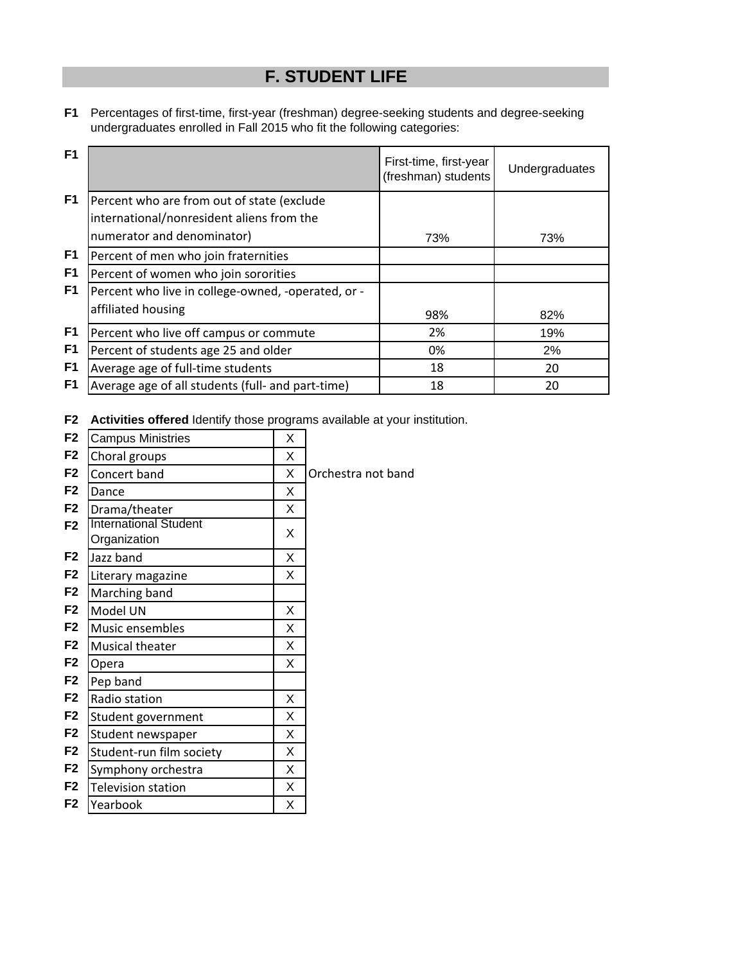# **F. STUDENT LIFE**

**F1** Percentages of first-time, first-year (freshman) degree-seeking students and degree-seeking undergraduates enrolled in Fall 2015 who fit the following categories:

| F <sub>1</sub> |                                                                                                                       | First-time, first-year<br>(freshman) students | Undergraduates |
|----------------|-----------------------------------------------------------------------------------------------------------------------|-----------------------------------------------|----------------|
| F1             | Percent who are from out of state (exclude<br>international/nonresident aliens from the<br>numerator and denominator) | 73%                                           | 73%            |
| F1<br>F1       | Percent of men who join fraternities<br>Percent of women who join sororities                                          |                                               |                |
| F <sub>1</sub> | Percent who live in college-owned, -operated, or -<br>affiliated housing                                              | 98%                                           | 82%            |
| F <sub>1</sub> | Percent who live off campus or commute                                                                                | 2%                                            | 19%            |
| F1             | Percent of students age 25 and older                                                                                  | 0%                                            | 2%             |
| F <sub>1</sub> | Average age of full-time students                                                                                     | 18                                            | 20             |
| F <sub>1</sub> | Average age of all students (full- and part-time)                                                                     | 18                                            | 20             |

**F2 Activities offered** Identify those programs available at your institution.

| <b>Campus Ministries</b>  | Х                            |                    |
|---------------------------|------------------------------|--------------------|
| Choral groups             | Χ                            |                    |
| Concert band              | X                            | Orchestra not band |
| Dance                     | Х                            |                    |
| Drama/theater             | X                            |                    |
| Organization              | X                            |                    |
| Jazz band                 | X                            |                    |
| Literary magazine         | X                            |                    |
| Marching band             |                              |                    |
| Model UN                  | X                            |                    |
| Music ensembles           | X                            |                    |
| Musical theater           | X                            |                    |
| Opera                     | X                            |                    |
| Pep band                  |                              |                    |
| Radio station             | X                            |                    |
| Student government        | X                            |                    |
| Student newspaper         | X                            |                    |
| Student-run film society  | X                            |                    |
| Symphony orchestra        | X                            |                    |
| <b>Television station</b> | Χ                            |                    |
| Yearbook                  | Χ                            |                    |
|                           | <b>International Student</b> |                    |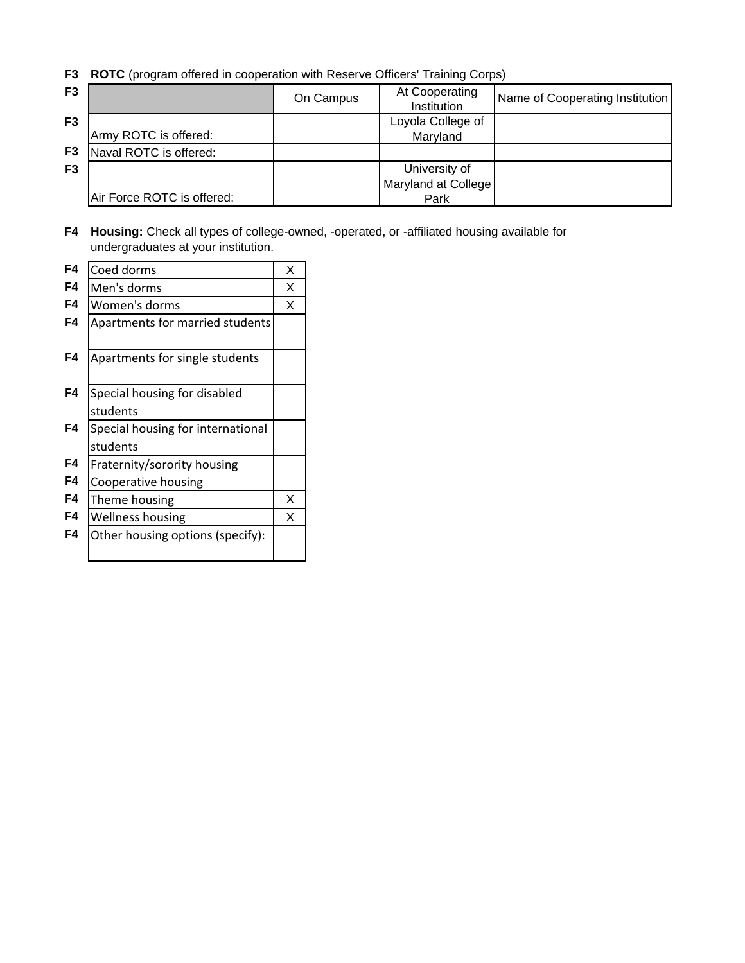**F3 ROTC** (program offered in cooperation with Reserve Officers' Training Corps)

| F <sub>3</sub> |                            | On Campus | At Cooperating<br>Institution | Name of Cooperating Institution |
|----------------|----------------------------|-----------|-------------------------------|---------------------------------|
| F <sub>3</sub> |                            |           | Loyola College of             |                                 |
|                | Army ROTC is offered:      |           | Maryland                      |                                 |
| F <sub>3</sub> | Naval ROTC is offered:     |           |                               |                                 |
| F <sub>3</sub> |                            |           | University of                 |                                 |
|                |                            |           | Maryland at College           |                                 |
|                | Air Force ROTC is offered: |           | Park                          |                                 |

**F4 Housing:** Check all types of college-owned, -operated, or -affiliated housing available for undergraduates at your institution.

| F4 | Coed dorms                        | X |
|----|-----------------------------------|---|
| F4 | Men's dorms                       | X |
| F4 | Women's dorms                     | X |
| F4 | Apartments for married students   |   |
|    |                                   |   |
| F4 | Apartments for single students    |   |
|    |                                   |   |
| F4 | Special housing for disabled      |   |
|    | students                          |   |
| F4 | Special housing for international |   |
|    | students                          |   |
| F4 | Fraternity/sorority housing       |   |
| F4 | Cooperative housing               |   |
| F4 | Theme housing                     | X |
| F4 | <b>Wellness housing</b>           | x |
| F4 | Other housing options (specify):  |   |
|    |                                   |   |
|    |                                   |   |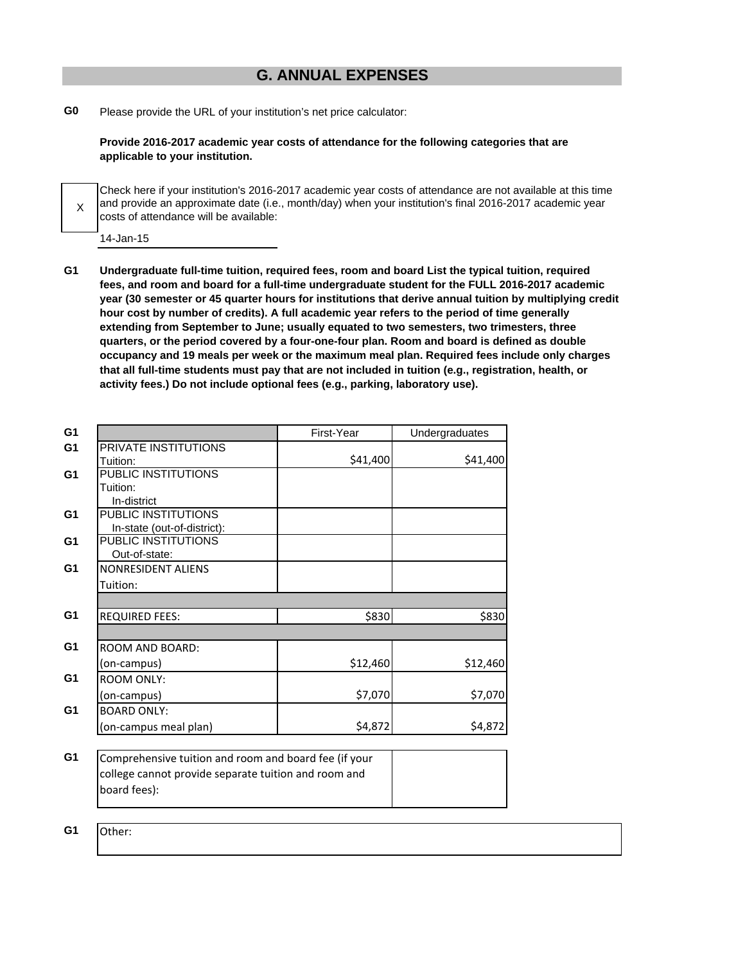# **G. ANNUAL EXPENSES**

**G0** Please provide the URL of your institution's net price calculator:

**Provide 2016-2017 academic year costs of attendance for the following categories that are applicable to your institution.**

X Check here if your institution's 2016-2017 academic year costs of attendance are not available at this time and provide an approximate date (i.e., month/day) when your institution's final 2016-2017 academic year costs of attendance will be available:

14-Jan-15

**G1 Undergraduate full-time tuition, required fees, room and board List the typical tuition, required fees, and room and board for a full-time undergraduate student for the FULL 2016-2017 academic year (30 semester or 45 quarter hours for institutions that derive annual tuition by multiplying credit hour cost by number of credits). A full academic year refers to the period of time generally extending from September to June; usually equated to two semesters, two trimesters, three quarters, or the period covered by a four-one-four plan. Room and board is defined as double occupancy and 19 meals per week or the maximum meal plan. Required fees include only charges that all full-time students must pay that are not included in tuition (e.g., registration, health, or activity fees.) Do not include optional fees (e.g., parking, laboratory use).**

| G <sub>1</sub> |                                                       | First-Year | Undergraduates |
|----------------|-------------------------------------------------------|------------|----------------|
| G <sub>1</sub> | PRIVATE INSTITUTIONS                                  |            |                |
|                | Tuition:                                              | \$41,400   | \$41,400       |
| G <sub>1</sub> | PUBLIC INSTITUTIONS                                   |            |                |
|                | Tuition:                                              |            |                |
|                | In-district                                           |            |                |
| G <sub>1</sub> | PUBLIC INSTITUTIONS                                   |            |                |
|                | In-state (out-of-district):                           |            |                |
| G <sub>1</sub> | PUBLIC INSTITUTIONS                                   |            |                |
|                | Out-of-state:                                         |            |                |
| G <sub>1</sub> | <b>NONRESIDENT ALIENS</b>                             |            |                |
|                | Tuition:                                              |            |                |
|                |                                                       |            |                |
| G1             | <b>REQUIRED FEES:</b>                                 | \$830      | \$830          |
|                |                                                       |            |                |
| G <sub>1</sub> | <b>ROOM AND BOARD:</b>                                |            |                |
|                | (on-campus)                                           | \$12,460   | \$12,460       |
| G <sub>1</sub> | <b>ROOM ONLY:</b>                                     |            |                |
|                | (on-campus)                                           | \$7,070    | \$7,070        |
| G <sub>1</sub> | <b>BOARD ONLY:</b>                                    |            |                |
|                | (on-campus meal plan)                                 | \$4,872    | \$4,872        |
|                |                                                       |            |                |
| G <sub>1</sub> | Comprehensive tuition and room and board fee (if your |            |                |
|                | college cannot provide separate tuition and room and  |            |                |
|                | board fees):                                          |            |                |
|                |                                                       |            |                |

**G1** Other: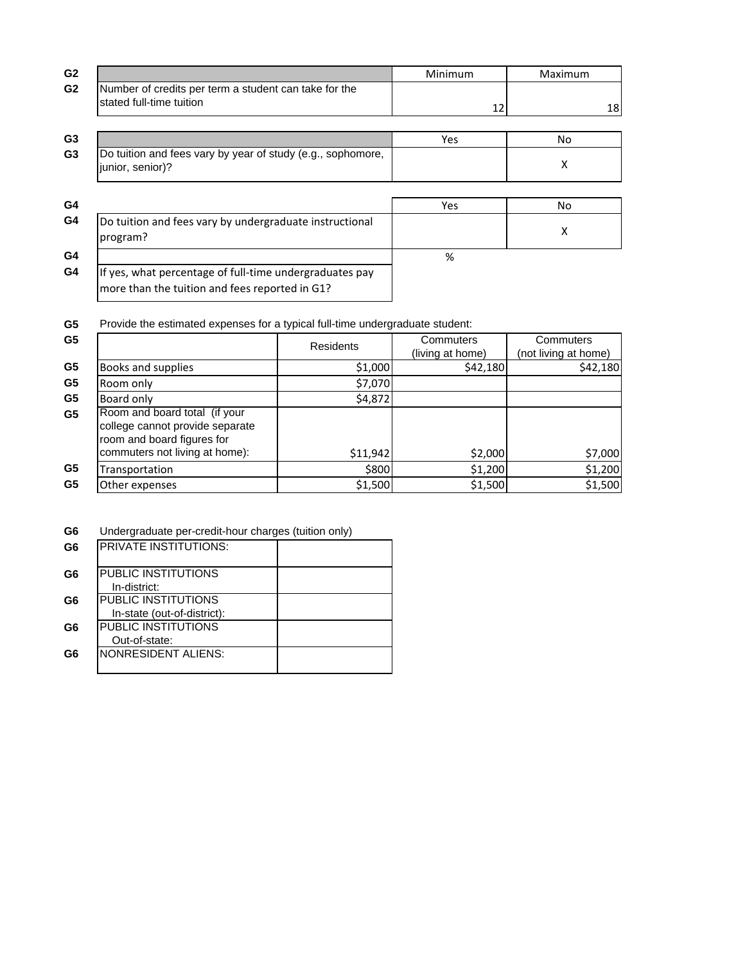| G <sub>2</sub> |                                                                                                           | Minimum | Maximum |
|----------------|-----------------------------------------------------------------------------------------------------------|---------|---------|
| G <sub>2</sub> | Number of credits per term a student can take for the<br>stated full-time tuition                         | 12      | 18      |
| G <sub>3</sub> |                                                                                                           | Yes     | No      |
| G <sub>3</sub> | Do tuition and fees vary by year of study (e.g., sophomore,<br>junior, senior)?                           |         | X       |
| G4             |                                                                                                           | Yes     | No      |
| G4             | Do tuition and fees vary by undergraduate instructional<br>program?                                       |         | X       |
| G4             |                                                                                                           | %       |         |
| G4             | If yes, what percentage of full-time undergraduates pay<br>more than the tuition and fees reported in G1? |         |         |

**G5** Provide the estimated expenses for a typical full-time undergraduate student:

| G <sub>5</sub> |                                                                                                | <b>Residents</b> | Commuters<br>(living at home) | Commuters<br>(not living at home) |
|----------------|------------------------------------------------------------------------------------------------|------------------|-------------------------------|-----------------------------------|
| G <sub>5</sub> | Books and supplies                                                                             | \$1,000          | \$42,180                      | \$42,180                          |
| G <sub>5</sub> | Room only                                                                                      | \$7,070          |                               |                                   |
| G <sub>5</sub> | Board only                                                                                     | \$4,872          |                               |                                   |
| G <sub>5</sub> | Room and board total (if your<br>college cannot provide separate<br>room and board figures for |                  |                               |                                   |
|                | commuters not living at home):                                                                 | \$11,942         | \$2,000                       | \$7,000                           |
| G <sub>5</sub> | Transportation                                                                                 | \$800            | \$1,200                       | \$1,200                           |
| G <sub>5</sub> | Other expenses                                                                                 | \$1,500          | \$1,500                       | \$1,500                           |

| G <sub>6</sub> | Undergraduate per-credit-hour charges (tuition only) |  |  |  |  |
|----------------|------------------------------------------------------|--|--|--|--|
|----------------|------------------------------------------------------|--|--|--|--|

| G6 | <b>IPRIVATE INSTITUTIONS:</b> |  |
|----|-------------------------------|--|
| G6 | IPUBLIC INSTITUTIONS          |  |
|    | In-district:                  |  |
| G6 | IPUBLIC INSTITUTIONS          |  |
|    | In-state (out-of-district):   |  |
| G6 | <b>I</b> PUBLIC INSTITUTIONS  |  |
|    | Out-of-state:                 |  |
| G6 | INONRESIDENT ALIENS:          |  |
|    |                               |  |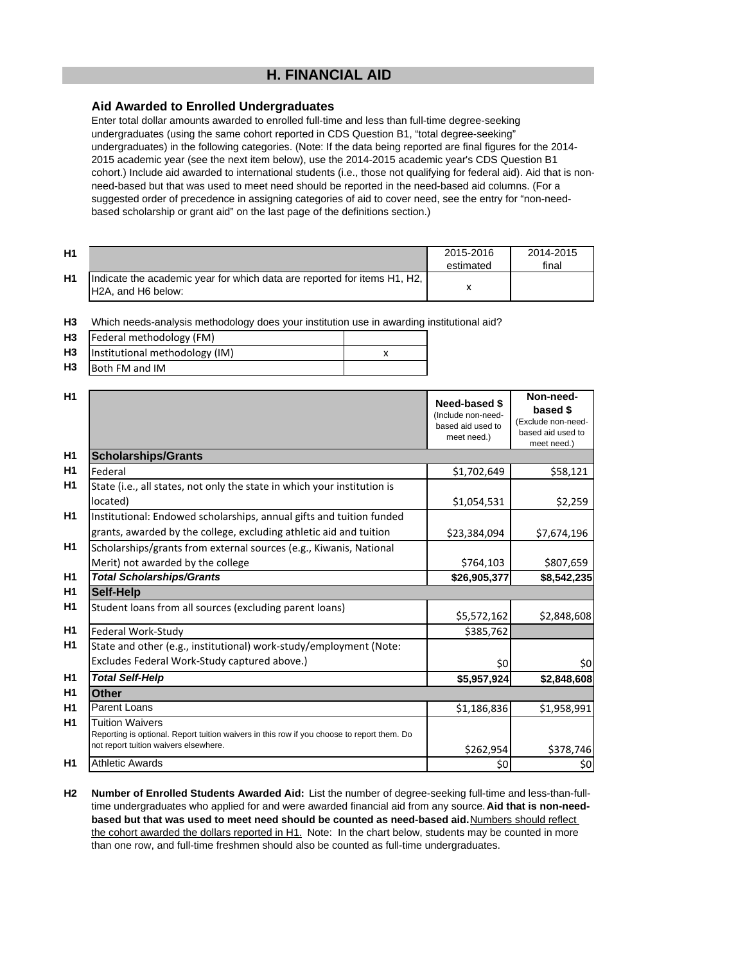# **H. FINANCIAL AID**

## **Aid Awarded to Enrolled Undergraduates**

Enter total dollar amounts awarded to enrolled full-time and less than full-time degree-seeking undergraduates (using the same cohort reported in CDS Question B1, "total degree-seeking" undergraduates) in the following categories. (Note: If the data being reported are final figures for the 2014- 2015 academic year (see the next item below), use the 2014-2015 academic year's CDS Question B1 cohort.) Include aid awarded to international students (i.e., those not qualifying for federal aid). Aid that is nonneed-based but that was used to meet need should be reported in the need-based aid columns. (For a suggested order of precedence in assigning categories of aid to cover need, see the entry for "non-needbased scholarship or grant aid" on the last page of the definitions section.)

| H <sub>1</sub> |                                                                                                                         | 2015-2016<br>estimated | 2014-2015<br>final |
|----------------|-------------------------------------------------------------------------------------------------------------------------|------------------------|--------------------|
| H1             | Indicate the academic year for which data are reported for items H1, H2,<br>H <sub>2</sub> A, and H <sub>6</sub> below: |                        |                    |

**H3** Which needs-analysis methodology does your institution use in awarding institutional aid?

| H <sub>3</sub> | Federal methodology (FM)       |  |
|----------------|--------------------------------|--|
| H <sub>3</sub> | Institutional methodology (IM) |  |
| H <sub>3</sub> | Both FM and IM                 |  |

| H1             |                                                                                                                                                               | Need-based \$<br>(Include non-need-<br>based aid used to<br>meet need.) | Non-need-<br>based \$<br>(Exclude non-need-<br>based aid used to<br>meet need.) |
|----------------|---------------------------------------------------------------------------------------------------------------------------------------------------------------|-------------------------------------------------------------------------|---------------------------------------------------------------------------------|
| H <sub>1</sub> | <b>Scholarships/Grants</b>                                                                                                                                    |                                                                         |                                                                                 |
| H1             | Federal                                                                                                                                                       | \$1,702,649                                                             | \$58,121                                                                        |
| H1             | State (i.e., all states, not only the state in which your institution is                                                                                      |                                                                         |                                                                                 |
|                | located)                                                                                                                                                      | \$1,054,531                                                             | \$2,259                                                                         |
| H1             | Institutional: Endowed scholarships, annual gifts and tuition funded                                                                                          |                                                                         |                                                                                 |
|                | grants, awarded by the college, excluding athletic aid and tuition                                                                                            | \$23,384,094                                                            | \$7,674,196                                                                     |
| H1             | Scholarships/grants from external sources (e.g., Kiwanis, National                                                                                            |                                                                         |                                                                                 |
|                | Merit) not awarded by the college                                                                                                                             | \$764,103                                                               | \$807,659                                                                       |
| H <sub>1</sub> | <b>Total Scholarships/Grants</b>                                                                                                                              | \$26,905,377                                                            | \$8,542,235                                                                     |
| H <sub>1</sub> | <b>Self-Help</b>                                                                                                                                              |                                                                         |                                                                                 |
| H1             | Student loans from all sources (excluding parent loans)                                                                                                       | \$5,572,162                                                             | \$2,848,608                                                                     |
| H1             | Federal Work-Study                                                                                                                                            | \$385,762                                                               |                                                                                 |
| H1             | State and other (e.g., institutional) work-study/employment (Note:                                                                                            |                                                                         |                                                                                 |
|                | Excludes Federal Work-Study captured above.)                                                                                                                  | \$0                                                                     | \$0                                                                             |
| H <sub>1</sub> | <b>Total Self-Help</b>                                                                                                                                        | \$5,957,924                                                             | \$2,848,608                                                                     |
| H1             | <b>Other</b>                                                                                                                                                  |                                                                         |                                                                                 |
| H1             | Parent Loans                                                                                                                                                  | \$1,186,836                                                             | \$1,958,991                                                                     |
| H <sub>1</sub> | <b>Tuition Waivers</b><br>Reporting is optional. Report tuition waivers in this row if you choose to report them. Do<br>not report tuition waivers elsewhere. |                                                                         |                                                                                 |
| H1             | <b>Athletic Awards</b>                                                                                                                                        | \$262,954                                                               | \$378,746                                                                       |
|                |                                                                                                                                                               | \$0                                                                     | \$0                                                                             |

**H2 Number of Enrolled Students Awarded Aid:** List the number of degree-seeking full-time and less-than-fulltime undergraduates who applied for and were awarded financial aid from any source. **Aid that is non-need**based but that was used to meet need should be counted as need-based aid. **Numbers should reflect** the cohort awarded the dollars reported in H1. Note: In the chart below, students may be counted in more than one row, and full-time freshmen should also be counted as full-time undergraduates.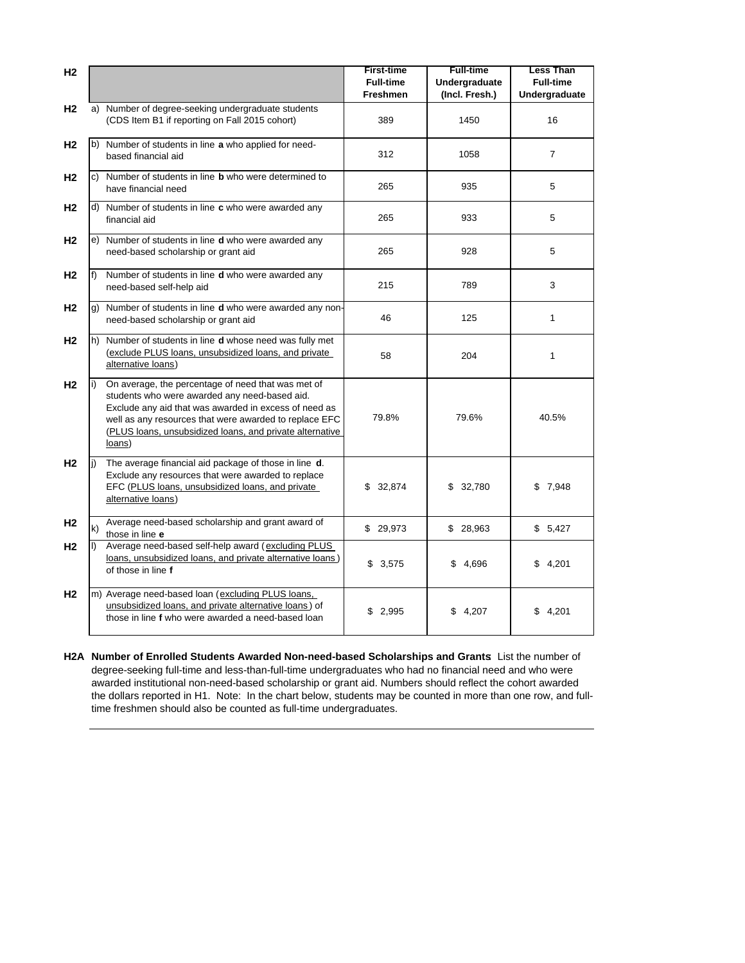| H <sub>2</sub> |                                                                                                                                                                                                                                                                                              | <b>First-time</b><br><b>Full-time</b><br>Freshmen | <b>Full-time</b><br>Undergraduate<br>(Incl. Fresh.) | <b>Less Than</b><br><b>Full-time</b><br>Undergraduate |
|----------------|----------------------------------------------------------------------------------------------------------------------------------------------------------------------------------------------------------------------------------------------------------------------------------------------|---------------------------------------------------|-----------------------------------------------------|-------------------------------------------------------|
| H <sub>2</sub> | a) Number of degree-seeking undergraduate students<br>(CDS Item B1 if reporting on Fall 2015 cohort)                                                                                                                                                                                         | 389                                               | 1450                                                | 16                                                    |
| H <sub>2</sub> | b) Number of students in line a who applied for need-<br>based financial aid                                                                                                                                                                                                                 | 312                                               | 1058                                                | $\overline{7}$                                        |
| H <sub>2</sub> | c) Number of students in line <b>b</b> who were determined to<br>have financial need                                                                                                                                                                                                         | 265                                               | 935                                                 | 5                                                     |
| H2             | d) Number of students in line <b>c</b> who were awarded any<br>financial aid                                                                                                                                                                                                                 | 265                                               | 933                                                 | 5                                                     |
| H <sub>2</sub> | e) Number of students in line <b>d</b> who were awarded any<br>need-based scholarship or grant aid                                                                                                                                                                                           | 265                                               | 928                                                 | 5                                                     |
| H <sub>2</sub> | f) Number of students in line <b>d</b> who were awarded any<br>need-based self-help aid                                                                                                                                                                                                      | 215                                               | 789                                                 | 3                                                     |
| H <sub>2</sub> | g) Number of students in line <b>d</b> who were awarded any non-<br>need-based scholarship or grant aid                                                                                                                                                                                      | 46                                                | 125                                                 | 1                                                     |
| H <sub>2</sub> | h) Number of students in line d whose need was fully met<br>(exclude PLUS loans, unsubsidized loans, and private<br>alternative loans)                                                                                                                                                       | 58                                                | 204                                                 | 1                                                     |
| H <sub>2</sub> | On average, the percentage of need that was met of<br>students who were awarded any need-based aid.<br>Exclude any aid that was awarded in excess of need as<br>well as any resources that were awarded to replace EFC<br>(PLUS loans, unsubsidized loans, and private alternative<br>loans) | 79.8%                                             | 79.6%                                               | 40.5%                                                 |
| H <sub>2</sub> | The average financial aid package of those in line d.<br>Exclude any resources that were awarded to replace<br>EFC (PLUS loans, unsubsidized loans, and private<br>alternative loans)                                                                                                        | \$32,874                                          | \$32,780                                            | \$7,948                                               |
| H <sub>2</sub> | Average need-based scholarship and grant award of<br>k)<br>those in line e                                                                                                                                                                                                                   | \$29,973                                          | \$28,963                                            | \$5,427                                               |
| H <sub>2</sub> | Average need-based self-help award (excluding PLUS<br>loans, unsubsidized loans, and private alternative loans)<br>of those in line f                                                                                                                                                        | \$3,575                                           | \$4,696                                             | \$4,201                                               |
| H <sub>2</sub> | m) Average need-based loan (excluding PLUS loans,<br>unsubsidized loans, and private alternative loans) of<br>those in line f who were awarded a need-based loan                                                                                                                             | \$2,995                                           | \$4,207                                             | \$4,201                                               |

**H2A Number of Enrolled Students Awarded Non-need-based Scholarships and Grants**: List the number of degree-seeking full-time and less-than-full-time undergraduates who had no financial need and who were awarded institutional non-need-based scholarship or grant aid. Numbers should reflect the cohort awarded the dollars reported in H1. Note: In the chart below, students may be counted in more than one row, and fulltime freshmen should also be counted as full-time undergraduates.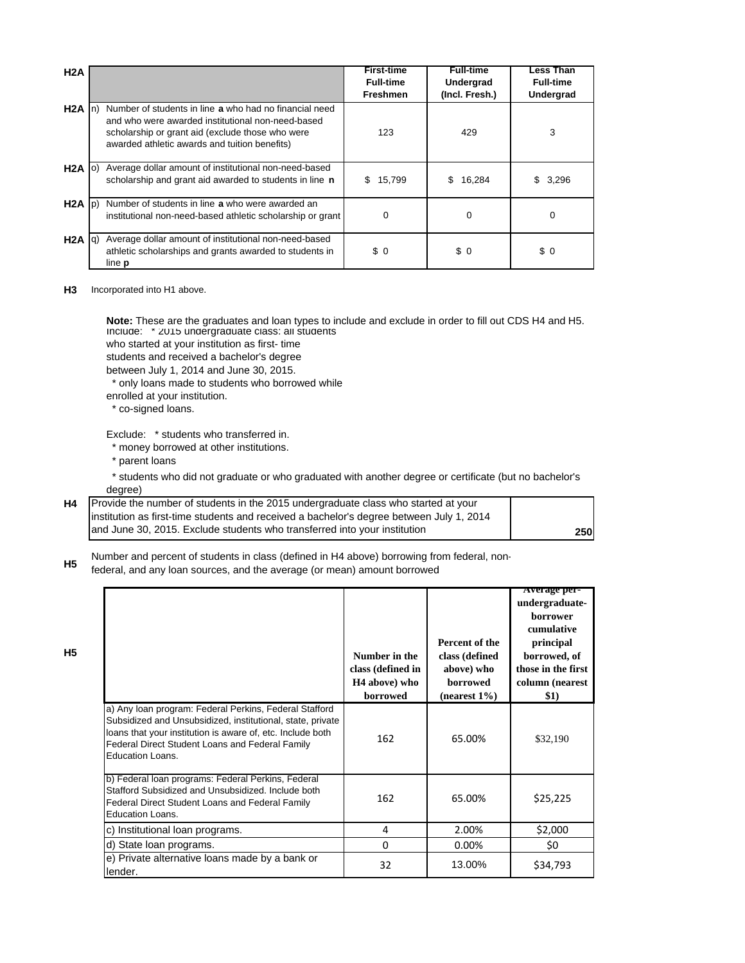| H2A               |                                                                                                                                                                                                                  | <b>First-time</b><br><b>Full-time</b><br><b>Freshmen</b> | <b>Full-time</b><br>Undergrad<br>(Incl. Fresh.) | Less Than<br><b>Full-time</b><br>Undergrad |
|-------------------|------------------------------------------------------------------------------------------------------------------------------------------------------------------------------------------------------------------|----------------------------------------------------------|-------------------------------------------------|--------------------------------------------|
| $H2A$ In          | Number of students in line a who had no financial need<br>and who were awarded institutional non-need-based<br>scholarship or grant aid (exclude those who were<br>awarded athletic awards and tuition benefits) | 123                                                      | 429                                             | 3                                          |
| $H2A$ (o)         | Average dollar amount of institutional non-need-based<br>scholarship and grant aid awarded to students in line n                                                                                                 | 15,799<br>\$.                                            | 16,284<br>\$.                                   | 3,296<br>S                                 |
| $H2A$ $ p\rangle$ | Number of students in line a who were awarded an<br>institutional non-need-based athletic scholarship or grant                                                                                                   | 0                                                        | $\Omega$                                        | $\mathbf 0$                                |
| $H2A$ $ q\rangle$ | Average dollar amount of institutional non-need-based<br>athletic scholarships and grants awarded to students in<br>line <b>p</b>                                                                                | \$0                                                      | \$0                                             | \$0                                        |

#### **H3** Incorporated into H1 above.

Include: \* 2015 undergraduate class: all students who started at your institution as first- time **Note:** These are the graduates and loan types to include and exclude in order to fill out CDS H4 and H5.

students and received a bachelor's degree

between July 1, 2014 and June 30, 2015.

\* only loans made to students who borrowed while

- enrolled at your institution.
- \* co-signed loans.

Exclude: \* students who transferred in.

- \* money borrowed at other institutions.
- \* parent loans

**H5**

 \* students who did not graduate or who graduated with another degree or certificate (but no bachelor's degree)

| <b>H4</b> Provide the number of students in the 2015 undergraduate class who started at your |     |
|----------------------------------------------------------------------------------------------|-----|
| institution as first-time students and received a bachelor's degree between July 1, 2014     |     |
| and June 30, 2015. Exclude students who transferred into your institution                    | 250 |

**H5** Number and percent of students in class (defined in H4 above) borrowing from federal, non-

federal, and any loan sources, and the average (or mean) amount borrowed

|                                                                                                                                                                                                                                                           | Number in the<br>class (defined in<br>H <sub>4</sub> above) who<br>borrowed | Percent of the<br>class (defined<br>above) who<br><b>borrowed</b><br>$(nearest 1\%)$ | Average per-<br>undergraduate-<br><b>horrower</b><br>cumulative<br>principal<br>borrowed, of<br>those in the first<br>column (nearest<br>\$1) |
|-----------------------------------------------------------------------------------------------------------------------------------------------------------------------------------------------------------------------------------------------------------|-----------------------------------------------------------------------------|--------------------------------------------------------------------------------------|-----------------------------------------------------------------------------------------------------------------------------------------------|
| a) Any Ioan program: Federal Perkins, Federal Stafford<br>Subsidized and Unsubsidized, institutional, state, private<br>loans that your institution is aware of, etc. Include both<br>Federal Direct Student Loans and Federal Family<br>Education Loans. | 162                                                                         | 65.00%                                                                               | \$32,190                                                                                                                                      |
| b) Federal Ioan programs: Federal Perkins, Federal<br>Stafford Subsidized and Unsubsidized. Include both<br>Federal Direct Student Loans and Federal Family<br><b>Education Loans.</b>                                                                    | 162                                                                         | 65.00%                                                                               | \$25,225                                                                                                                                      |
| c) Institutional loan programs.                                                                                                                                                                                                                           | 4                                                                           | 2.00%                                                                                | \$2,000                                                                                                                                       |
| d) State Ioan programs.                                                                                                                                                                                                                                   | 0                                                                           | 0.00%                                                                                | \$0                                                                                                                                           |
| e) Private alternative loans made by a bank or<br>lender.                                                                                                                                                                                                 | 32                                                                          | 13.00%                                                                               | \$34,793                                                                                                                                      |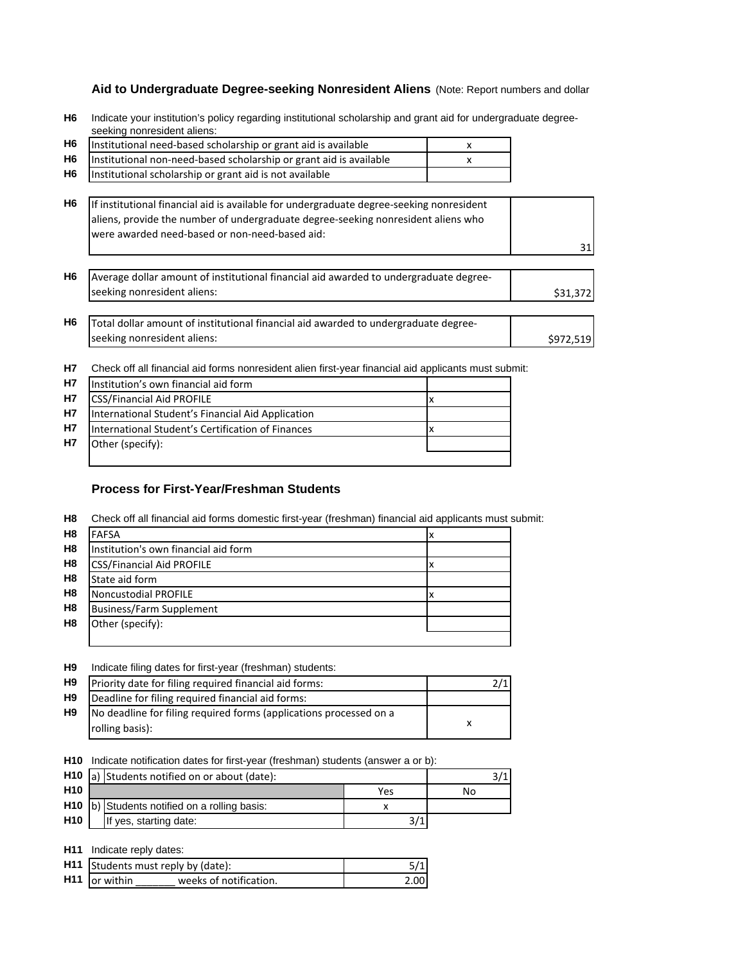# **Aid to Undergraduate Degree-seeking Nonresident Aliens** (Note: Report numbers and dollar

| H6 Indicate your institution's policy regarding institutional scholarship and grant aid for undergraduate degree- |
|-------------------------------------------------------------------------------------------------------------------|
| seeking nonresident aliens:                                                                                       |

| H <sub>6</sub> | Institutional need-based scholarship or grant aid is available                                                                                                                                                                  | x |           |
|----------------|---------------------------------------------------------------------------------------------------------------------------------------------------------------------------------------------------------------------------------|---|-----------|
| H6             | Institutional non-need-based scholarship or grant aid is available                                                                                                                                                              | x |           |
| H6             | Institutional scholarship or grant aid is not available                                                                                                                                                                         |   |           |
| H6             | If institutional financial aid is available for undergraduate degree-seeking nonresident<br>aliens, provide the number of undergraduate degree-seeking nonresident aliens who<br>were awarded need-based or non-need-based aid: |   | 31        |
| H6             | Average dollar amount of institutional financial aid awarded to undergraduate degree-<br>seeking nonresident aliens:                                                                                                            |   | \$31,372  |
| H <sub>6</sub> | Total dollar amount of institutional financial aid awarded to undergraduate degree-                                                                                                                                             |   |           |
|                | seeking nonresident aliens:                                                                                                                                                                                                     |   | \$972,519 |

**H7** Check off all financial aid forms nonresident alien first-year financial aid applicants must submit:

| <b>H7</b> | Institution's own financial aid form              |  |
|-----------|---------------------------------------------------|--|
| <b>H7</b> | <b>CSS/Financial Aid PROFILE</b>                  |  |
| H7        | International Student's Financial Aid Application |  |
| <b>H7</b> | International Student's Certification of Finances |  |
| H7        | Other (specify):                                  |  |
|           |                                                   |  |

## **Process for First-Year/Freshman Students**

**H8** Check off all financial aid forms domestic first-year (freshman) financial aid applicants must submit:

| H <sub>8</sub> | <b>FAFSA</b>                         | İΧ |
|----------------|--------------------------------------|----|
| H <sub>8</sub> | Institution's own financial aid form |    |
| H <sub>8</sub> | <b>CSS/Financial Aid PROFILE</b>     |    |
| H <sub>8</sub> | State aid form                       |    |
| H <sub>8</sub> | Noncustodial PROFILE                 |    |
| H <sub>8</sub> | <b>Business/Farm Supplement</b>      |    |
| H <sub>8</sub> | Other (specify):                     |    |
|                |                                      |    |

#### **H9** Indicate filing dates for first-year (freshman) students:

| H <sub>9</sub> | Priority date for filing required financial aid forms:             |  |
|----------------|--------------------------------------------------------------------|--|
| H <sub>9</sub> | Deadline for filing required financial aid forms:                  |  |
| H9             | No deadline for filing required forms (applications processed on a |  |
|                | rolling basis):                                                    |  |

**H10** Indicate notification dates for first-year (freshman) students (answer a or b):

|                 | H10  a) Students notified on or about (date): |                                               |     |    |
|-----------------|-----------------------------------------------|-----------------------------------------------|-----|----|
| H <sub>10</sub> |                                               |                                               | Yes | No |
|                 |                                               | H10  b) Students notified on a rolling basis: |     |    |
| <b>H10</b>      |                                               | If yes, starting date:                        |     |    |

**H11** Indicate reply dates:

| .                                  |                        |      |
|------------------------------------|------------------------|------|
| H11 Students must reply by (date): |                        |      |
| H <sub>11</sub> or within          | weeks of notification. | 2.00 |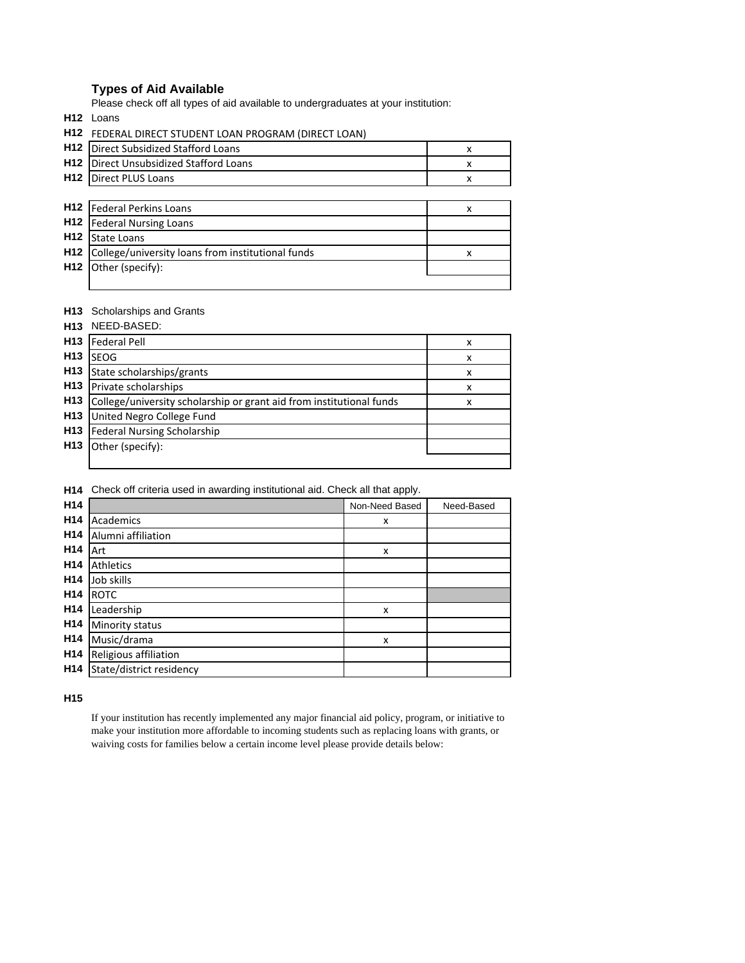## **Types of Aid Available**

Please check off all types of aid available to undergraduates at your institution:

**H12** Loans

|                 | H12 FEDERAL DIRECT STUDENT LOAN PROGRAM (DIRECT LOAN) |   |
|-----------------|-------------------------------------------------------|---|
| H <sub>12</sub> | <b>Direct Subsidized Stafford Loans</b>               | x |
| H <sub>12</sub> | Direct Unsubsidized Stafford Loans                    | x |
| H <sub>12</sub> | <b>Direct PLUS Loans</b>                              | x |
|                 |                                                       |   |
| H <sub>12</sub> | Federal Perkins Loans                                 | x |
| H <sub>12</sub> | <b>Federal Nursing Loans</b>                          |   |
| H <sub>12</sub> | State Loans                                           |   |
| H <sub>12</sub> | College/university loans from institutional funds     | x |
| H <sub>12</sub> | Other (specify):                                      |   |
|                 |                                                       |   |

#### **H13** Scholarships and Grants

|                 | H13 NEED-BASED:                                                      |   |
|-----------------|----------------------------------------------------------------------|---|
| H <sub>13</sub> | <b>Federal Pell</b>                                                  | x |
| H <sub>13</sub> | <b>SEOG</b>                                                          | x |
| H <sub>13</sub> | State scholarships/grants                                            | x |
| H <sub>13</sub> | Private scholarships                                                 | x |
| H <sub>13</sub> | College/university scholarship or grant aid from institutional funds | x |
| H <sub>13</sub> | United Negro College Fund                                            |   |
| H <sub>13</sub> | <b>Federal Nursing Scholarship</b>                                   |   |
| H <sub>13</sub> | Other (specify):                                                     |   |
|                 |                                                                      |   |

#### **H14** Check off criteria used in awarding institutional aid. Check all that apply.

| H14             |                          | Non-Need Based | Need-Based |
|-----------------|--------------------------|----------------|------------|
| H <sub>14</sub> | Academics                | x              |            |
| H <sub>14</sub> | Alumni affiliation       |                |            |
| H <sub>14</sub> | Art                      | x              |            |
| H <sub>14</sub> | <b>Athletics</b>         |                |            |
| H <sub>14</sub> | Job skills               |                |            |
| H <sub>14</sub> | <b>ROTC</b>              |                |            |
| H <sub>14</sub> | Leadership               | x              |            |
| H <sub>14</sub> | Minority status          |                |            |
| H <sub>14</sub> | Music/drama              | X              |            |
| H <sub>14</sub> | Religious affiliation    |                |            |
| H <sub>14</sub> | State/district residency |                |            |

**H15**

If your institution has recently implemented any major financial aid policy, program, or initiative to make your institution more affordable to incoming students such as replacing loans with grants, or waiving costs for families below a certain income level please provide details below: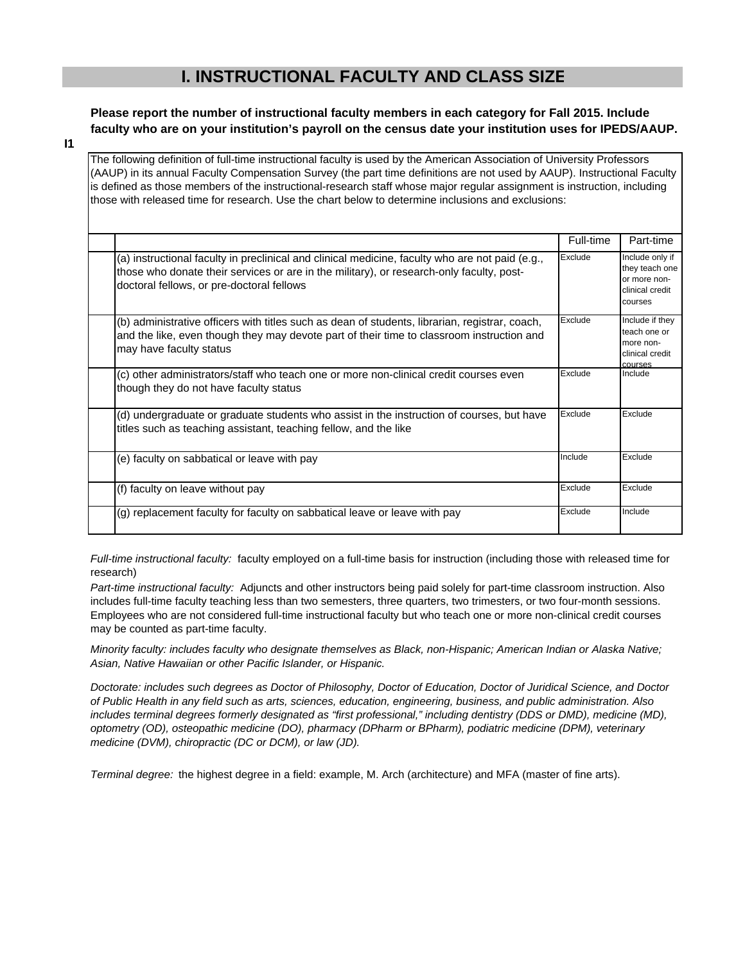# **I. INSTRUCTIONAL FACULTY AND CLASS SIZE**

**Please report the number of instructional faculty members in each category for Fall 2015. Include faculty who are on your institution's payroll on the census date your institution uses for IPEDS/AAUP.**

**I1**

The following definition of full-time instructional faculty is used by the American Association of University Professors (AAUP) in its annual Faculty Compensation Survey (the part time definitions are not used by AAUP). Instructional Faculty is defined as those members of the instructional-research staff whose major regular assignment is instruction, including those with released time for research. Use the chart below to determine inclusions and exclusions:

|                                                                                                                                                                                                                                          | Full-time | Part-time                                                                         |
|------------------------------------------------------------------------------------------------------------------------------------------------------------------------------------------------------------------------------------------|-----------|-----------------------------------------------------------------------------------|
| (a) instructional faculty in preclinical and clinical medicine, faculty who are not paid (e.g.,<br>those who donate their services or are in the military), or research-only faculty, post-<br>doctoral fellows, or pre-doctoral fellows | Exclude   | Include only if<br>they teach one<br>or more non-<br>clinical credit<br>courses   |
| (b) administrative officers with titles such as dean of students, librarian, registrar, coach,<br>and the like, even though they may devote part of their time to classroom instruction and<br>may have faculty status                   | Exclude   | Include if they<br>teach one or<br>more non-<br>clinical credit<br><b>COULSES</b> |
| (c) other administrators/staff who teach one or more non-clinical credit courses even<br>though they do not have faculty status                                                                                                          | Exclude   | Include                                                                           |
| (d) undergraduate or graduate students who assist in the instruction of courses, but have<br>titles such as teaching assistant, teaching fellow, and the like                                                                            | Exclude   | Exclude                                                                           |
| (e) faculty on sabbatical or leave with pay                                                                                                                                                                                              | Include   | Exclude                                                                           |
| (f) faculty on leave without pay                                                                                                                                                                                                         | Exclude   | Exclude                                                                           |
| (g) replacement faculty for faculty on sabbatical leave or leave with pay                                                                                                                                                                | Exclude   | Include                                                                           |

*Full-time instructional faculty:* faculty employed on a full-time basis for instruction (including those with released time for research)

*Part-time instructional faculty:* Adjuncts and other instructors being paid solely for part-time classroom instruction. Also includes full-time faculty teaching less than two semesters, three quarters, two trimesters, or two four-month sessions. Employees who are not considered full-time instructional faculty but who teach one or more non-clinical credit courses may be counted as part-time faculty.

*Minority faculty: includes faculty who designate themselves as Black, non-Hispanic; American Indian or Alaska Native; Asian, Native Hawaiian or other Pacific Islander, or Hispanic.* 

*Doctorate: includes such degrees as Doctor of Philosophy, Doctor of Education, Doctor of Juridical Science, and Doctor of Public Health in any field such as arts, sciences, education, engineering, business, and public administration. Also*  includes terminal degrees formerly designated as "first professional," including dentistry (DDS or DMD), medicine (MD), *optometry (OD), osteopathic medicine (DO), pharmacy (DPharm or BPharm), podiatric medicine (DPM), veterinary medicine (DVM), chiropractic (DC or DCM), or law (JD).*

*Terminal degree:* the highest degree in a field: example, M. Arch (architecture) and MFA (master of fine arts).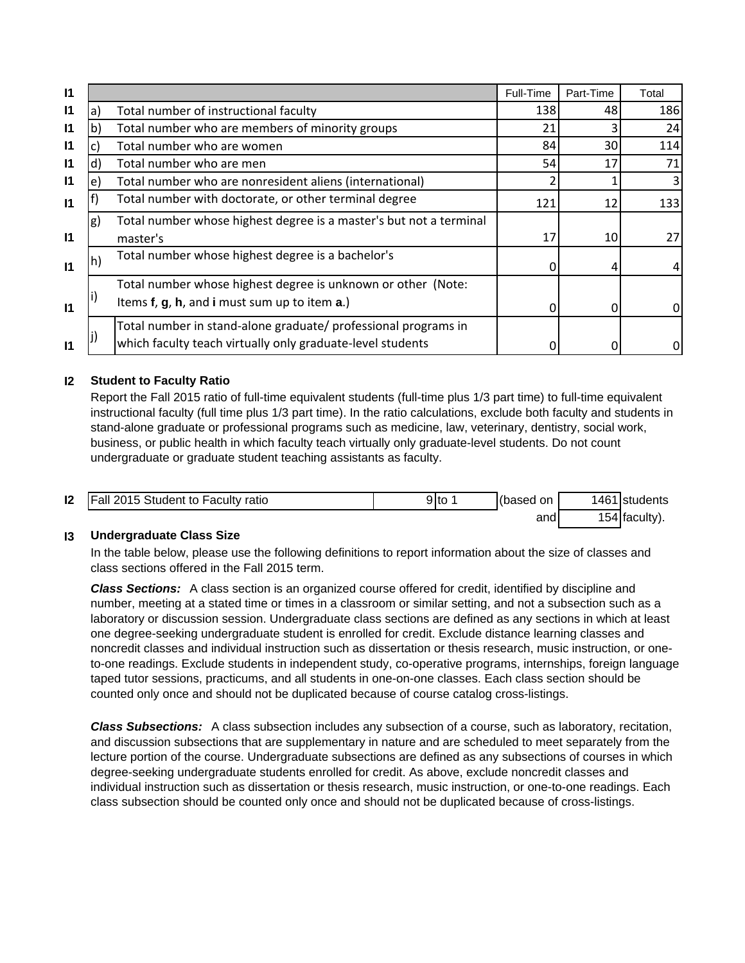| $\mathsf{I}$ |                   |                                                                    | Full-Time | Part-Time | Total |
|--------------|-------------------|--------------------------------------------------------------------|-----------|-----------|-------|
| $\mathsf{I}$ | a)                | Total number of instructional faculty                              | 138       | 48        | 186   |
| $\mathsf{I}$ | $\mathsf{b}$      | Total number who are members of minority groups                    | 21        |           | 24    |
| $\mathsf{I}$ |                   | Total number who are women                                         | 84        | 30        | 114   |
| $\mathsf{I}$ | d)                | Total number who are men                                           | 54        | 17        | 71    |
| $\mathbf{I}$ | e)                | Total number who are nonresident aliens (international)            |           |           |       |
| $\mathsf{I}$ |                   | Total number with doctorate, or other terminal degree              | 121       | 12        | 133   |
|              | g)                | Total number whose highest degree is a master's but not a terminal |           |           |       |
| $\mathsf{I}$ |                   | master's                                                           | 17        | 10        |       |
| $\mathbf{I}$ | $\vert h \rangle$ | Total number whose highest degree is a bachelor's                  |           |           |       |
|              |                   | Total number whose highest degree is unknown or other (Note:       |           |           |       |
| $\mathsf{I}$ |                   | Items f, g, h, and i must sum up to item a.)                       |           | 0         |       |
|              |                   | Total number in stand-alone graduate/ professional programs in     |           |           |       |
| $\mathsf{I}$ |                   | which faculty teach virtually only graduate-level students         |           |           |       |

# **I2 Student to Faculty Ratio**

Report the Fall 2015 ratio of full-time equivalent students (full-time plus 1/3 part time) to full-time equivalent instructional faculty (full time plus 1/3 part time). In the ratio calculations, exclude both faculty and students in stand-alone graduate or professional programs such as medicine, law, veterinary, dentistry, social work, business, or public health in which faculty teach virtually only graduate-level students. Do not count undergraduate or graduate student teaching assistants as faculty.

| 12 | <b>Fall 2015 Student to Faculty ratio</b> | 9lto | (based on | 1461 | <b>Istudents</b> |
|----|-------------------------------------------|------|-----------|------|------------------|
|    |                                           |      | and       |      | 4 (faculty).     |

# **I3 Undergraduate Class Size**

In the table below, please use the following definitions to report information about the size of classes and class sections offered in the Fall 2015 term.

*Class Sections:* A class section is an organized course offered for credit, identified by discipline and number, meeting at a stated time or times in a classroom or similar setting, and not a subsection such as a laboratory or discussion session. Undergraduate class sections are defined as any sections in which at least one degree-seeking undergraduate student is enrolled for credit. Exclude distance learning classes and noncredit classes and individual instruction such as dissertation or thesis research, music instruction, or oneto-one readings. Exclude students in independent study, co-operative programs, internships, foreign language taped tutor sessions, practicums, and all students in one-on-one classes. Each class section should be counted only once and should not be duplicated because of course catalog cross-listings.

*Class Subsections:* A class subsection includes any subsection of a course, such as laboratory, recitation, and discussion subsections that are supplementary in nature and are scheduled to meet separately from the lecture portion of the course. Undergraduate subsections are defined as any subsections of courses in which degree-seeking undergraduate students enrolled for credit. As above, exclude noncredit classes and individual instruction such as dissertation or thesis research, music instruction, or one-to-one readings. Each class subsection should be counted only once and should not be duplicated because of cross-listings.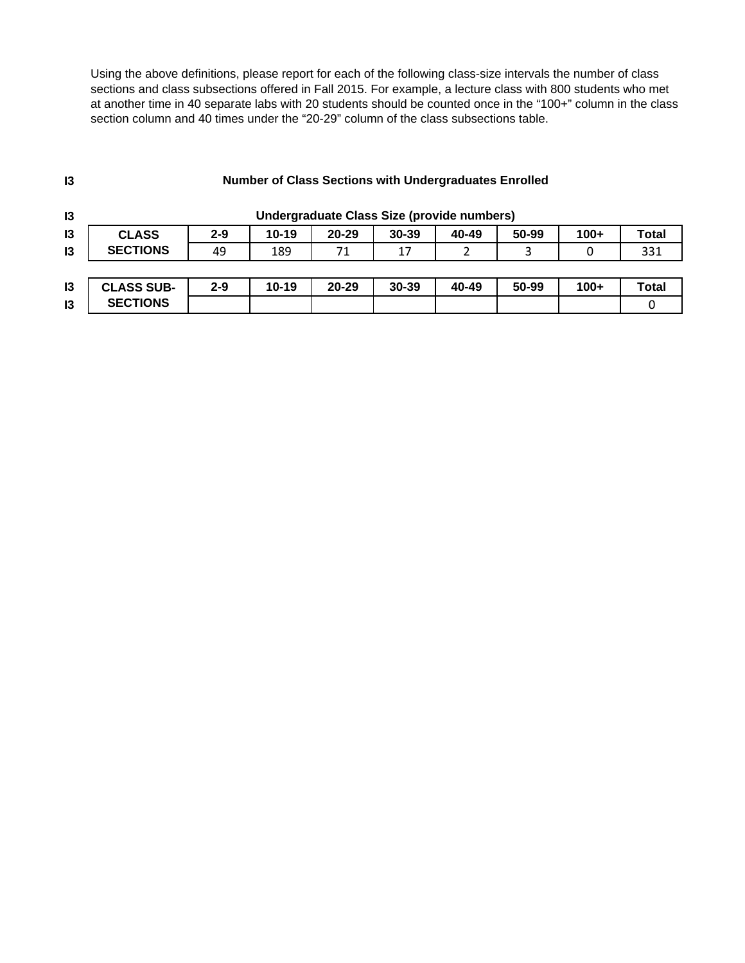Using the above definitions, please report for each of the following class-size intervals the number of class sections and class subsections offered in Fall 2015. For example, a lecture class with 800 students who met at another time in 40 separate labs with 20 students should be counted once in the "100+" column in the class section column and 40 times under the "20-29" column of the class subsections table.

| $\mathsf{I}3$ | <b>Number of Class Sections with Undergraduates Enrolled</b> |                                            |         |           |           |       |       |        |              |
|---------------|--------------------------------------------------------------|--------------------------------------------|---------|-----------|-----------|-------|-------|--------|--------------|
| 13            |                                                              | Undergraduate Class Size (provide numbers) |         |           |           |       |       |        |              |
| 13            | <b>CLASS</b>                                                 | $2 - 9$                                    | $10-19$ | $20 - 29$ | $30 - 39$ | 40-49 | 50-99 | $100+$ | <b>Total</b> |
| $\mathsf{I}3$ | <b>SECTIONS</b>                                              | 49                                         | 189     | 71        | 17        |       | 3     | 0      | 331          |
|               |                                                              |                                            |         |           |           |       |       |        |              |
| 13            | <b>CLASS SUB-</b>                                            | $2 - 9$                                    | $10-19$ | $20 - 29$ | $30 - 39$ | 40-49 | 50-99 | $100+$ | Total        |
| 13            | <b>SECTIONS</b>                                              |                                            |         |           |           |       |       |        |              |

# **Number of Class Sections with Undergraduates Enrolled**